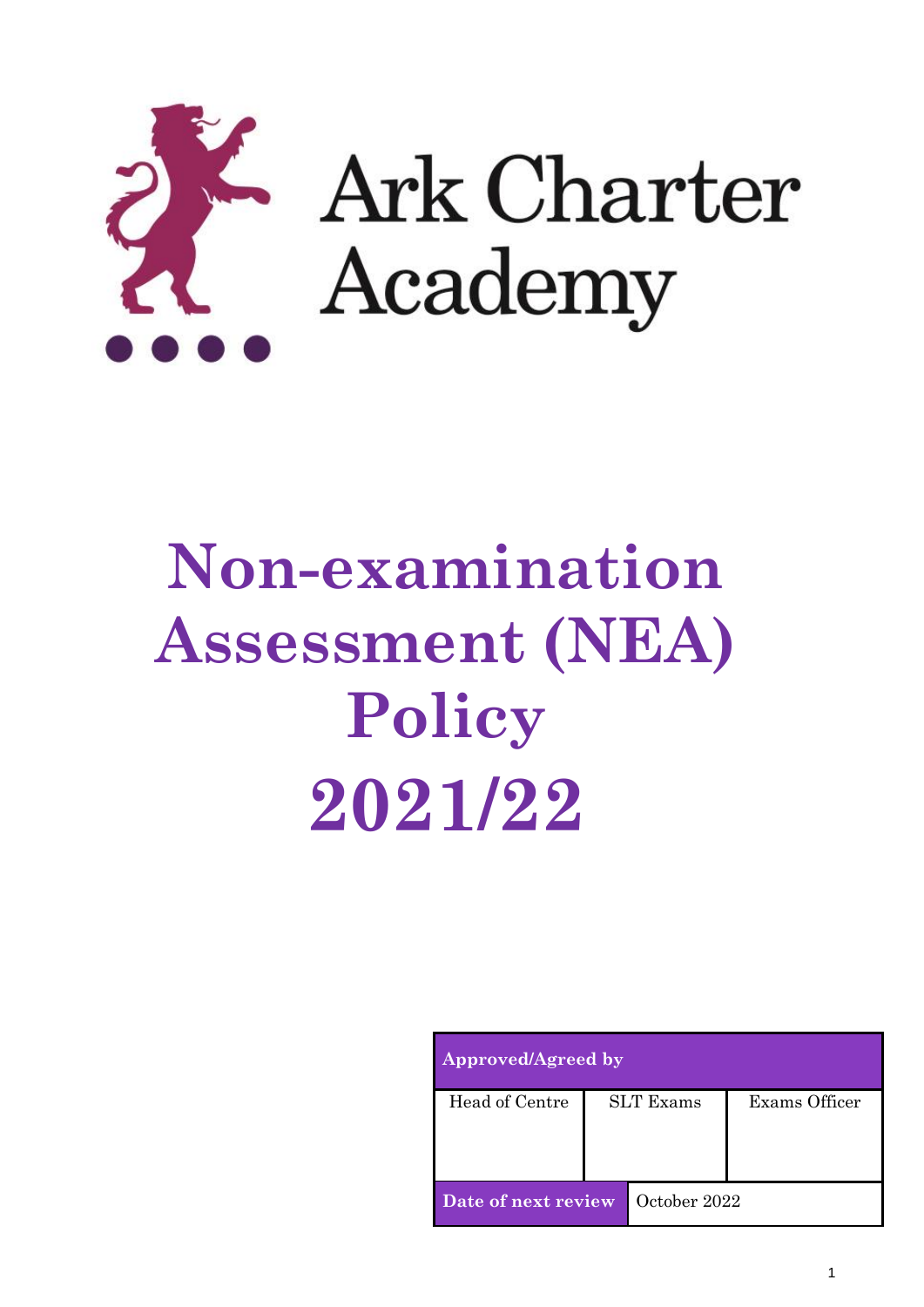

# **Non-examination Assessment (NEA) Policy 2021/22**

| <b>Approved/Agreed by</b> |  |                  |               |
|---------------------------|--|------------------|---------------|
| Head of Centre            |  | <b>SLT</b> Exams | Exams Officer |
| Date of next review       |  | October 2022     |               |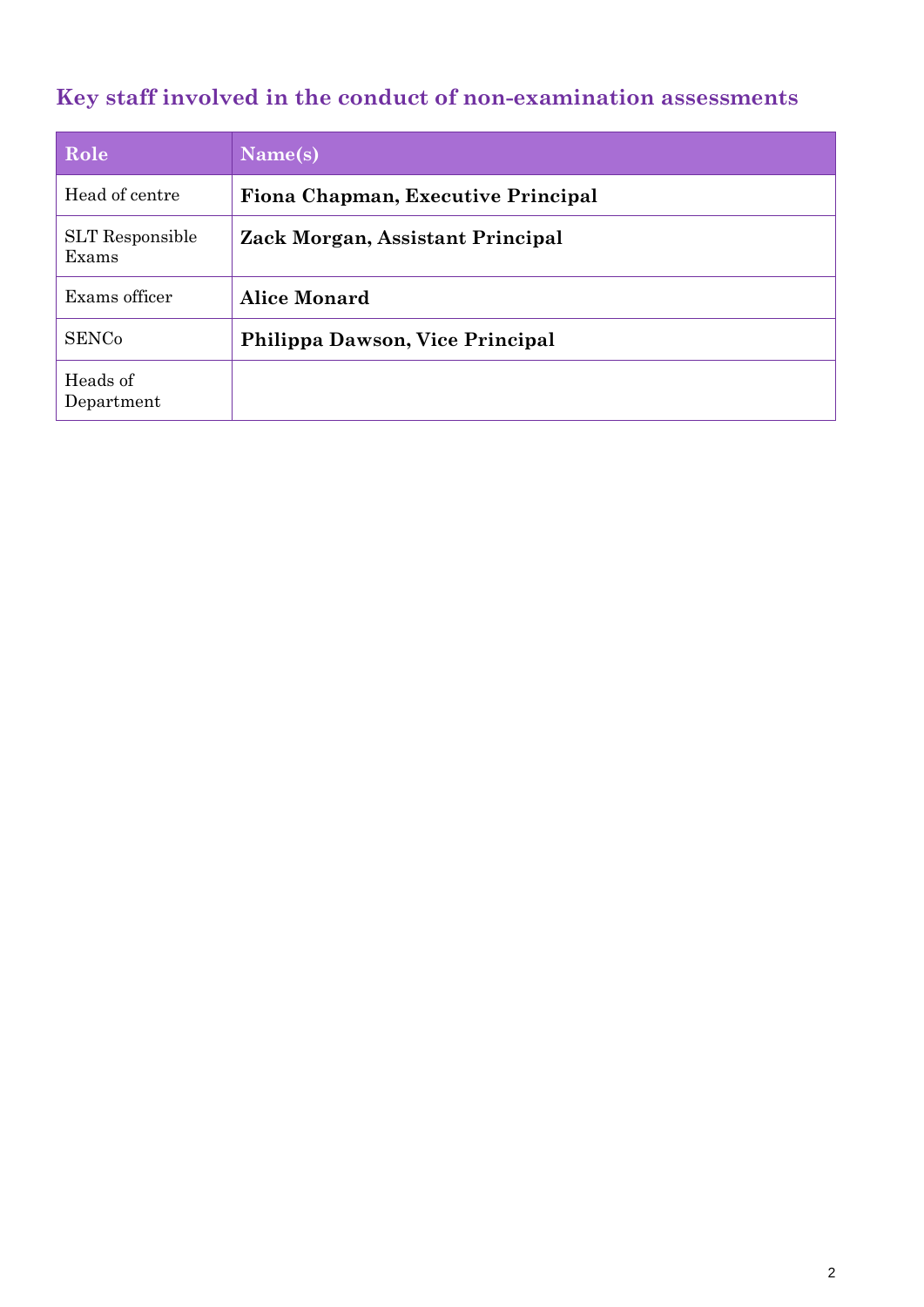# <span id="page-1-0"></span>**Key staff involved in the conduct of non-examination assessments**

| Role                            | Name(s)                            |
|---------------------------------|------------------------------------|
| Head of centre                  | Fiona Chapman, Executive Principal |
| <b>SLT</b> Responsible<br>Exams | Zack Morgan, Assistant Principal   |
| Exams officer                   | <b>Alice Monard</b>                |
| <b>SENCo</b>                    | Philippa Dawson, Vice Principal    |
| Heads of<br>Department          |                                    |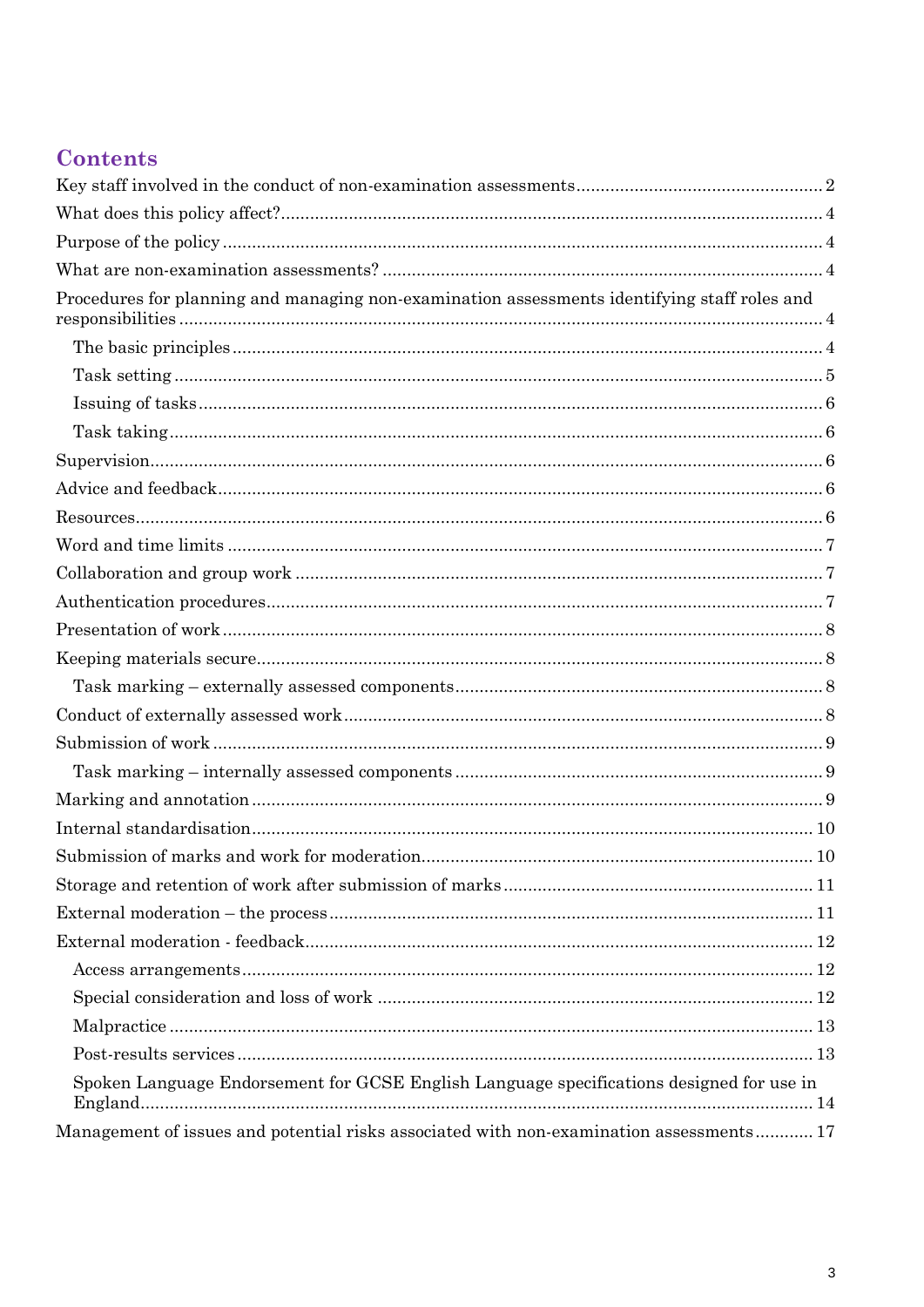## **Contents**

| Procedures for planning and managing non-examination assessments identifying staff roles and |  |
|----------------------------------------------------------------------------------------------|--|
|                                                                                              |  |
|                                                                                              |  |
|                                                                                              |  |
|                                                                                              |  |
|                                                                                              |  |
|                                                                                              |  |
|                                                                                              |  |
|                                                                                              |  |
|                                                                                              |  |
|                                                                                              |  |
|                                                                                              |  |
|                                                                                              |  |
|                                                                                              |  |
|                                                                                              |  |
|                                                                                              |  |
|                                                                                              |  |
|                                                                                              |  |
|                                                                                              |  |
|                                                                                              |  |
|                                                                                              |  |
|                                                                                              |  |
|                                                                                              |  |
|                                                                                              |  |
|                                                                                              |  |
|                                                                                              |  |
|                                                                                              |  |
| Spoken Language Endorsement for GCSE English Language specifications designed for use in     |  |
| Management of issues and potential risks associated with non-examination assessments 17      |  |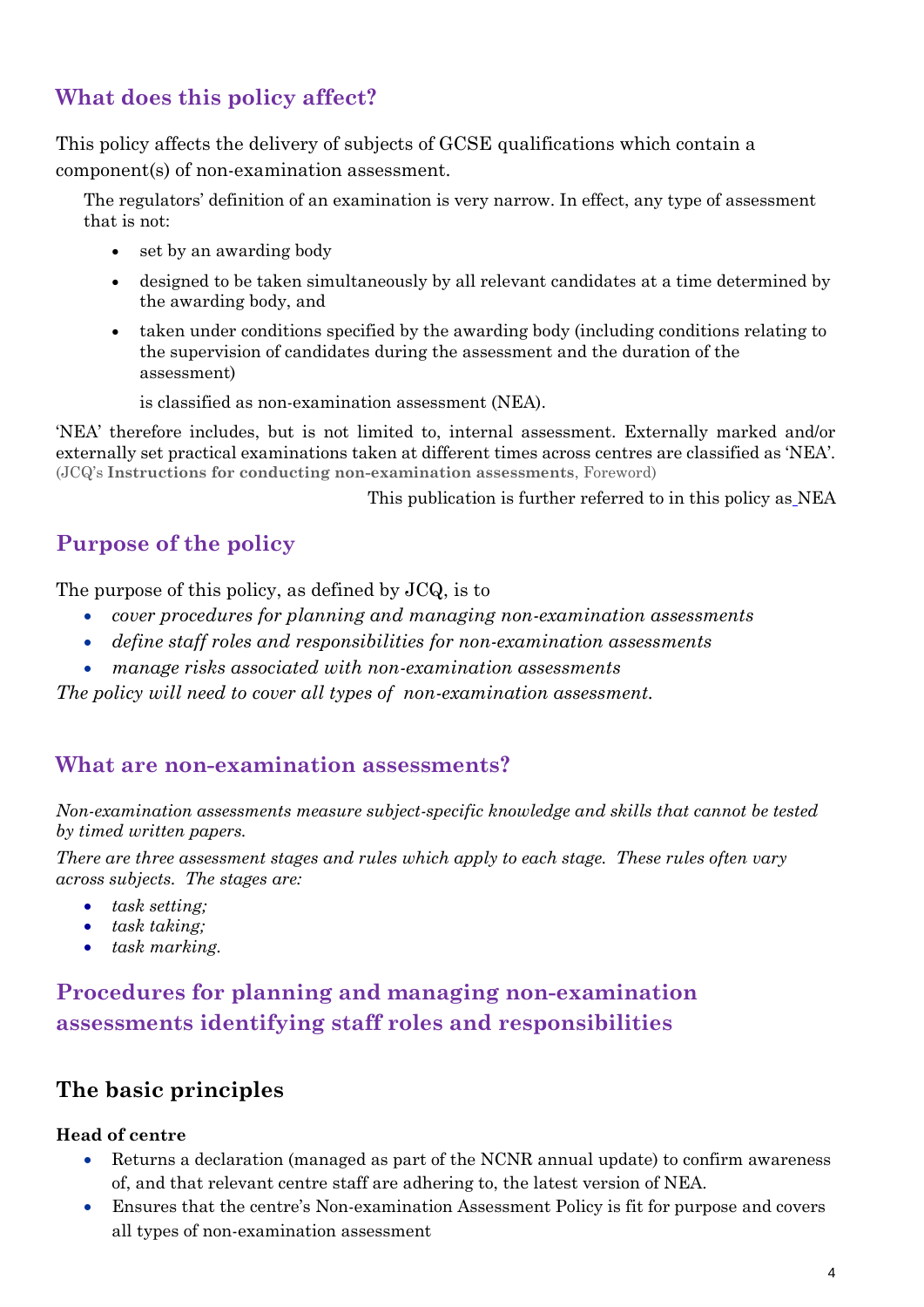# <span id="page-3-0"></span>**What does this policy affect?**

This policy affects the delivery of subjects of GCSE qualifications which contain a component(s) of non-examination assessment.

The regulators' definition of an examination is very narrow. In effect, any type of assessment that is not:

- set by an awarding body
- designed to be taken simultaneously by all relevant candidates at a time determined by the awarding body, and
- taken under conditions specified by the awarding body (including conditions relating to the supervision of candidates during the assessment and the duration of the assessment)

is classified as non-examination assessment (NEA).

'NEA' therefore includes, but is not limited to, internal assessment. Externally marked and/or externally set practical examinations taken at different times across centres are classified as 'NEA'. (JCQ's **Instructions for conducting non-examination assessments**, Foreword)

This publication is further referred to in this policy as NEA

## <span id="page-3-1"></span>**Purpose of the policy**

The purpose of this policy, as defined by JCQ, is to

- *cover procedures for planning and managing non-examination assessments*
- *define staff roles and responsibilities for non-examination assessments*
- *manage risks associated with non-examination assessments*

*The policy will need to cover all types of non-examination assessment.*

#### <span id="page-3-2"></span>**What are non-examination assessments?**

*Non-examination assessments measure subject-specific knowledge and skills that cannot be tested by timed written papers.* 

*There are three assessment stages and rules which apply to each stage. These rules often vary across subjects. The stages are:* 

- *task setting;*
- *task taking;*
- *task marking.*

## <span id="page-3-3"></span>**Procedures for planning and managing non-examination assessments identifying staff roles and responsibilities**

## <span id="page-3-4"></span>**The basic principles**

#### **Head of centre**

- Returns a declaration (managed as part of the NCNR annual update) to confirm awareness of, and that relevant centre staff are adhering to, the latest version of NEA.
- Ensures that the centre's Non-examination Assessment Policy is fit for purpose and covers all types of non-examination assessment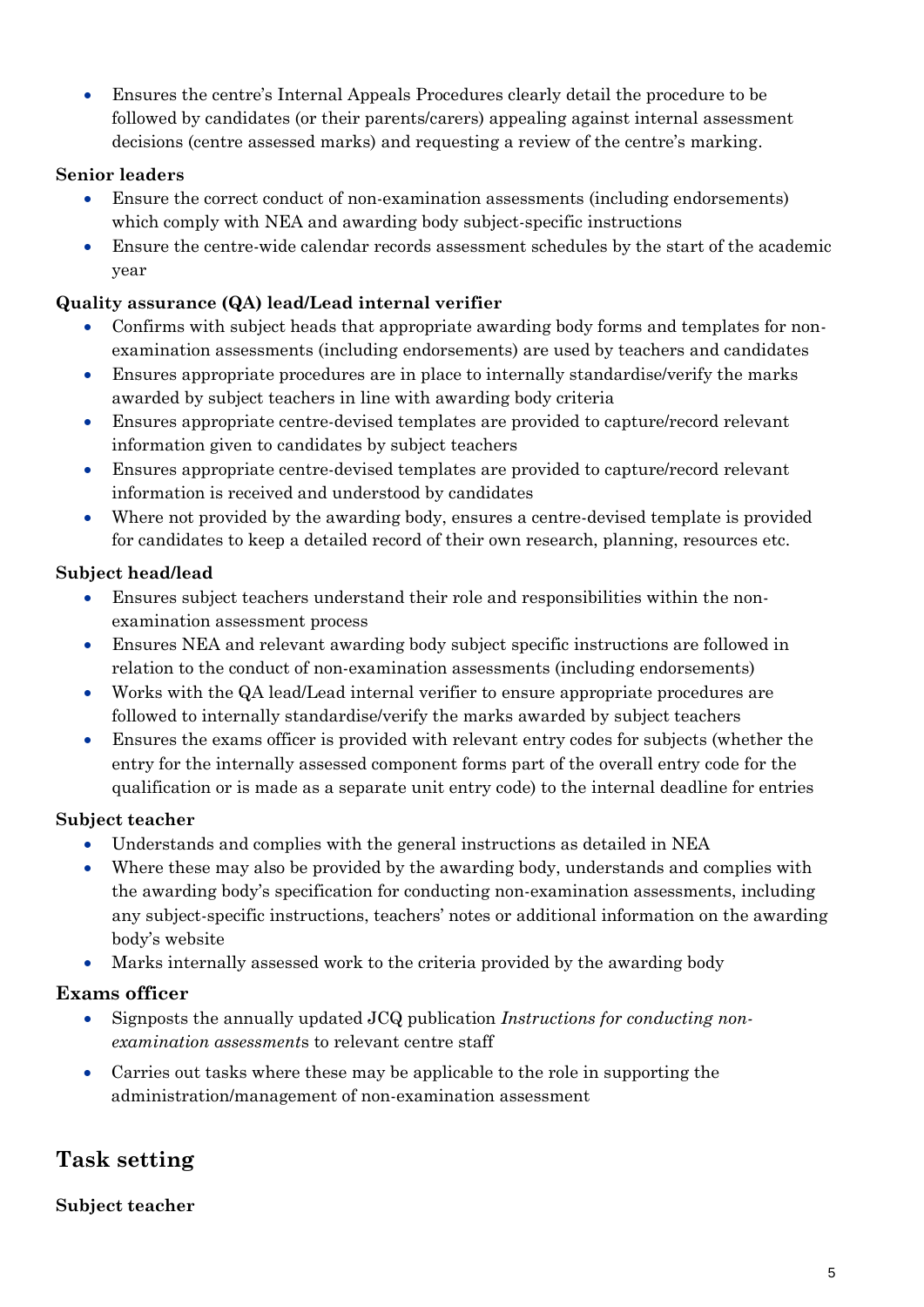• Ensures the centre's Internal Appeals Procedures clearly detail the procedure to be followed by candidates (or their parents/carers) appealing against internal assessment decisions (centre assessed marks) and requesting a review of the centre's marking.

#### **Senior leaders**

- Ensure the correct conduct of non-examination assessments (including endorsements) which comply with NEA and awarding body subject-specific instructions
- Ensure the centre-wide calendar records assessment schedules by the start of the academic year

#### **Quality assurance (QA) lead/Lead internal verifier**

- Confirms with subject heads that appropriate awarding body forms and templates for nonexamination assessments (including endorsements) are used by teachers and candidates
- Ensures appropriate procedures are in place to internally standardise/verify the marks awarded by subject teachers in line with awarding body criteria
- Ensures appropriate centre-devised templates are provided to capture/record relevant information given to candidates by subject teachers
- Ensures appropriate centre-devised templates are provided to capture/record relevant information is received and understood by candidates
- Where not provided by the awarding body, ensures a centre-devised template is provided for candidates to keep a detailed record of their own research, planning, resources etc.

#### **Subject head/lead**

- Ensures subject teachers understand their role and responsibilities within the nonexamination assessment process
- Ensures NEA and relevant awarding body subject specific instructions are followed in relation to the conduct of non-examination assessments (including endorsements)
- Works with the QA lead/Lead internal verifier to ensure appropriate procedures are followed to internally standardise/verify the marks awarded by subject teachers
- Ensures the exams officer is provided with relevant entry codes for subjects (whether the entry for the internally assessed component forms part of the overall entry code for the qualification or is made as a separate unit entry code) to the internal deadline for entries

#### **Subject teacher**

- Understands and complies with the general instructions as detailed in NEA
- Where these may also be provided by the awarding body, understands and complies with the awarding body's specification for conducting non-examination assessments, including any subject-specific instructions, teachers' notes or additional information on the awarding body's website
- Marks internally assessed work to the criteria provided by the awarding body

#### **Exams officer**

- Signposts the annually updated JCQ publication *Instructions for conducting nonexamination assessment*s to relevant centre staff
- Carries out tasks where these may be applicable to the role in supporting the administration/management of non-examination assessment

## <span id="page-4-0"></span>**Task setting**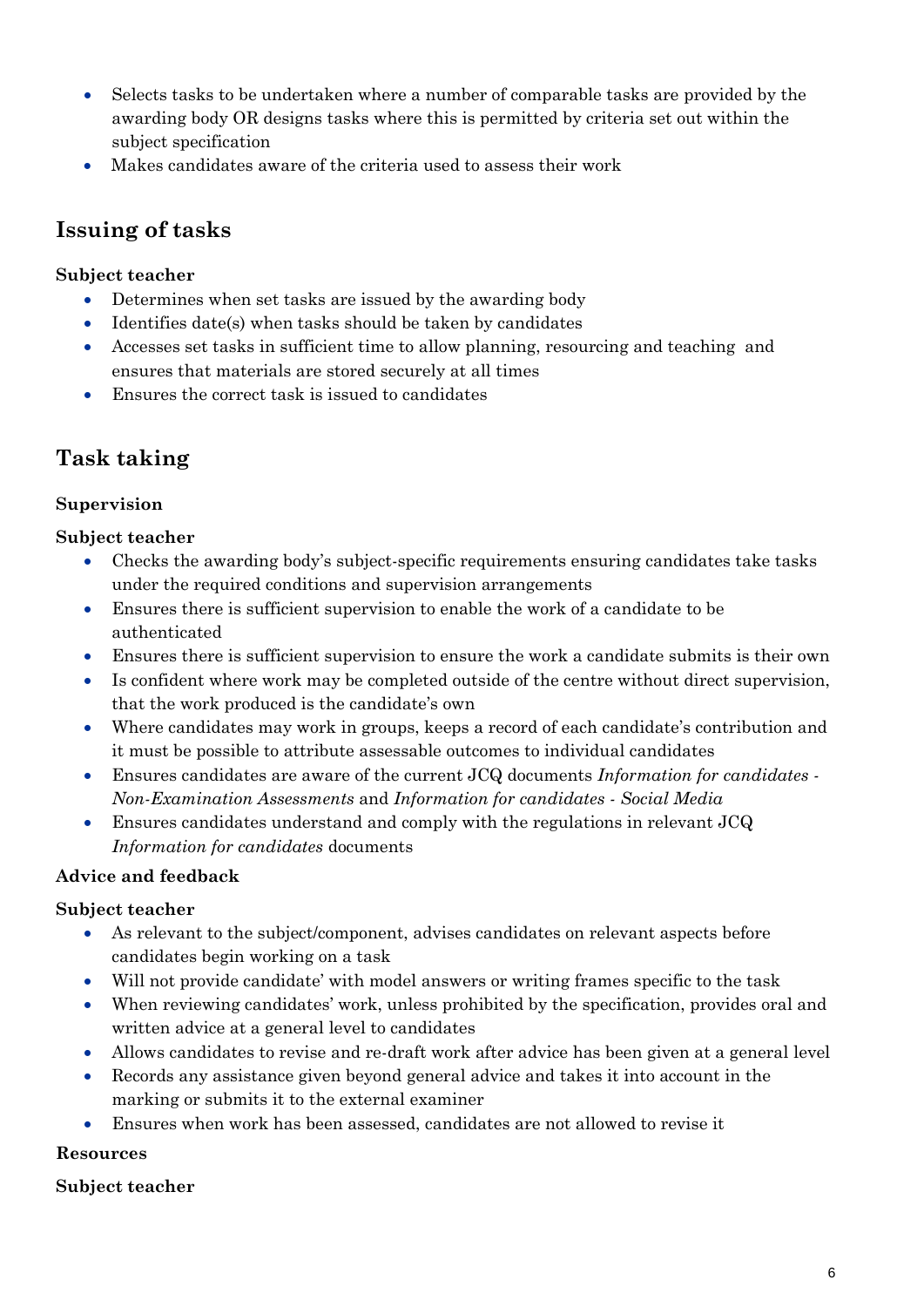- Selects tasks to be undertaken where a number of comparable tasks are provided by the awarding body OR designs tasks where this is permitted by criteria set out within the subject specification
- Makes candidates aware of the criteria used to assess their work

## <span id="page-5-0"></span>**Issuing of tasks**

#### **Subject teacher**

- Determines when set tasks are issued by the awarding body
- Identifies date(s) when tasks should be taken by candidates
- Accesses set tasks in sufficient time to allow planning, resourcing and teaching and ensures that materials are stored securely at all times
- Ensures the correct task is issued to candidates

## <span id="page-5-1"></span>**Task taking**

#### <span id="page-5-2"></span>**Supervision**

#### **Subject teacher**

- Checks the awarding body's subject-specific requirements ensuring candidates take tasks under the required conditions and supervision arrangements
- Ensures there is sufficient supervision to enable the work of a candidate to be authenticated
- Ensures there is sufficient supervision to ensure the work a candidate submits is their own
- Is confident where work may be completed outside of the centre without direct supervision, that the work produced is the candidate's own
- Where candidates may work in groups, keeps a record of each candidate's contribution and it must be possible to attribute assessable outcomes to individual candidates
- Ensures candidates are aware of the current JCQ documents *Information for candidates - Non-Examination Assessments* and *Information for candidates - Social Media*
- Ensures candidates understand and comply with the regulations in relevant JCQ *Information for candidates* documents

#### <span id="page-5-3"></span>**Advice and feedback**

#### **Subject teacher**

- As relevant to the subject/component, advises candidates on relevant aspects before candidates begin working on a task
- Will not provide candidate' with model answers or writing frames specific to the task
- When reviewing candidates' work, unless prohibited by the specification, provides oral and written advice at a general level to candidates
- Allows candidates to revise and re-draft work after advice has been given at a general level
- Records any assistance given beyond general advice and takes it into account in the marking or submits it to the external examiner
- Ensures when work has been assessed, candidates are not allowed to revise it

#### <span id="page-5-4"></span>**Resources**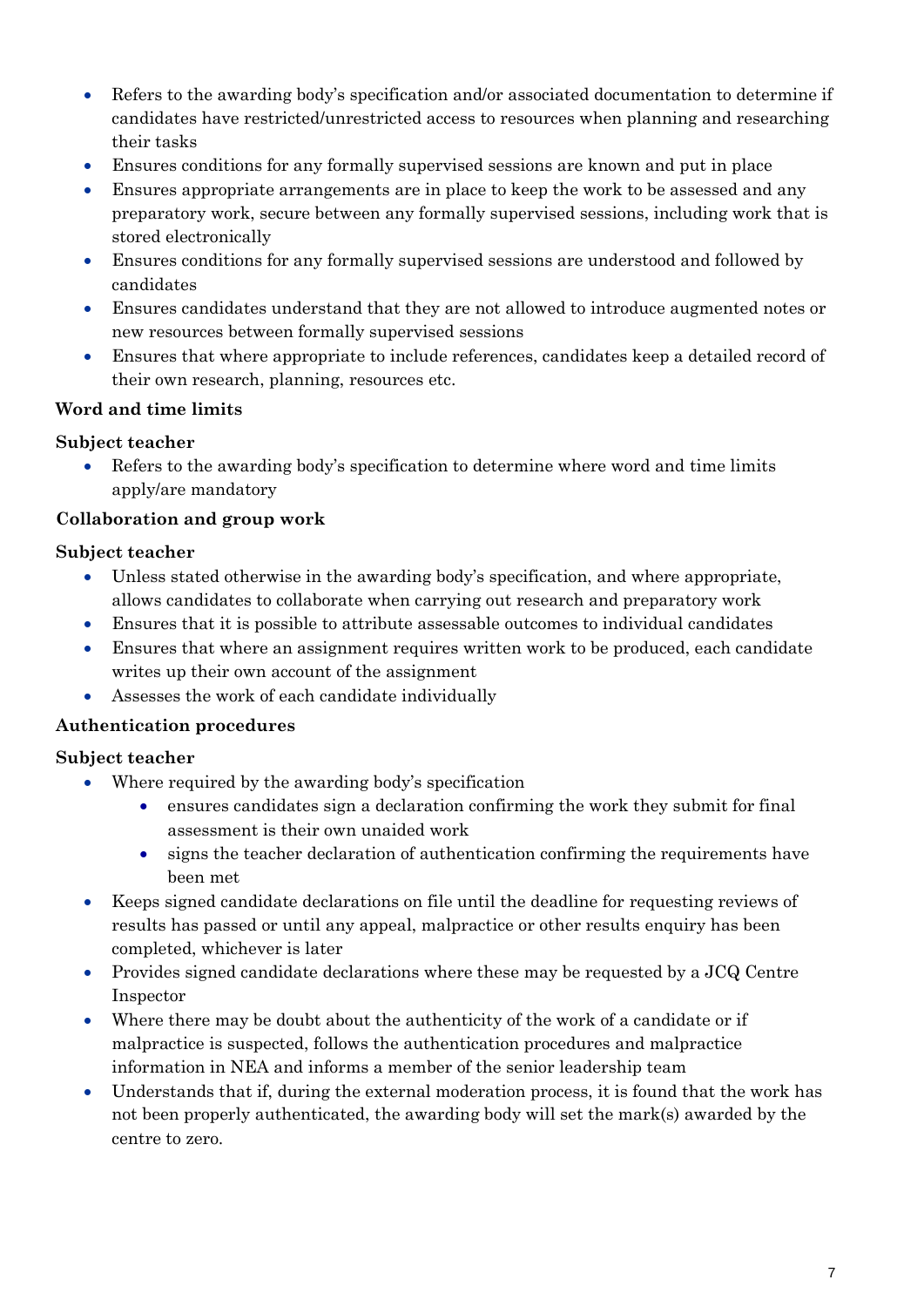- Refers to the awarding body's specification and/or associated documentation to determine if candidates have restricted/unrestricted access to resources when planning and researching their tasks
- Ensures conditions for any formally supervised sessions are known and put in place
- Ensures appropriate arrangements are in place to keep the work to be assessed and any preparatory work, secure between any formally supervised sessions, including work that is stored electronically
- Ensures conditions for any formally supervised sessions are understood and followed by candidates
- Ensures candidates understand that they are not allowed to introduce augmented notes or new resources between formally supervised sessions
- Ensures that where appropriate to include references, candidates keep a detailed record of their own research, planning, resources etc.

#### <span id="page-6-0"></span>**Word and time limits**

#### **Subject teacher**

• Refers to the awarding body's specification to determine where word and time limits apply/are mandatory

#### <span id="page-6-1"></span>**Collaboration and group work**

#### **Subject teacher**

- Unless stated otherwise in the awarding body's specification, and where appropriate, allows candidates to collaborate when carrying out research and preparatory work
- Ensures that it is possible to attribute assessable outcomes to individual candidates
- Ensures that where an assignment requires written work to be produced, each candidate writes up their own account of the assignment
- Assesses the work of each candidate individually

#### <span id="page-6-2"></span>**Authentication procedures**

- Where required by the awarding body's specification
	- ensures candidates sign a declaration confirming the work they submit for final assessment is their own unaided work
	- signs the teacher declaration of authentication confirming the requirements have been met
- Keeps signed candidate declarations on file until the deadline for requesting reviews of results has passed or until any appeal, malpractice or other results enquiry has been completed, whichever is later
- Provides signed candidate declarations where these may be requested by a JCQ Centre Inspector
- Where there may be doubt about the authenticity of the work of a candidate or if malpractice is suspected, follows the authentication procedures and malpractice information in NEA and informs a member of the senior leadership team
- Understands that if, during the external moderation process, it is found that the work has not been properly authenticated, the awarding body will set the mark(s) awarded by the centre to zero.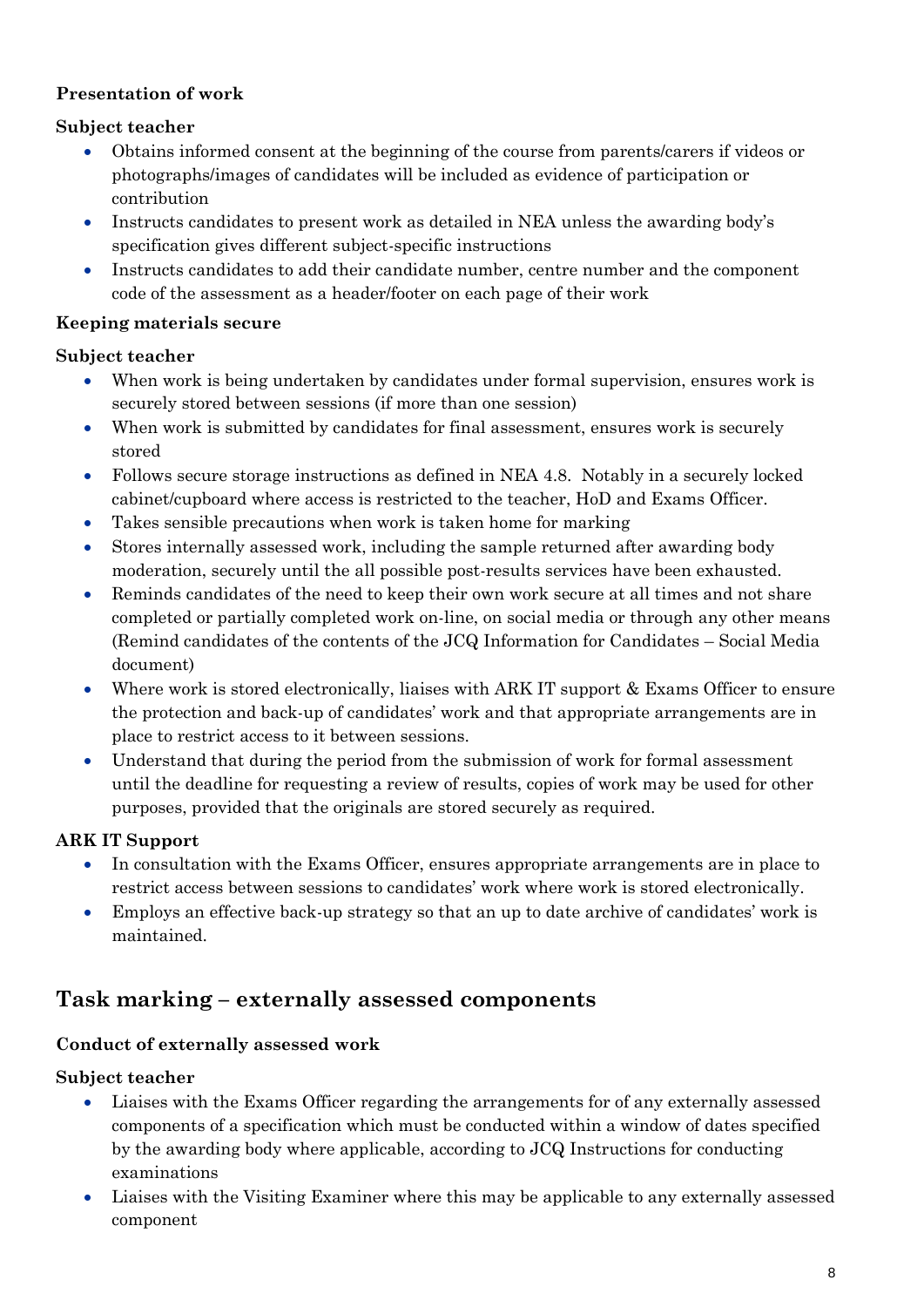#### <span id="page-7-0"></span>**Presentation of work**

#### **Subject teacher**

- Obtains informed consent at the beginning of the course from parents/carers if videos or photographs/images of candidates will be included as evidence of participation or contribution
- Instructs candidates to present work as detailed in NEA unless the awarding body's specification gives different subject-specific instructions
- Instructs candidates to add their candidate number, centre number and the component code of the assessment as a header/footer on each page of their work

#### <span id="page-7-1"></span>**Keeping materials secure**

#### **Subject teacher**

- When work is being undertaken by candidates under formal supervision, ensures work is securely stored between sessions (if more than one session)
- When work is submitted by candidates for final assessment, ensures work is securely stored
- Follows secure storage instructions as defined in NEA 4.8. Notably in a securely locked cabinet/cupboard where access is restricted to the teacher, HoD and Exams Officer.
- Takes sensible precautions when work is taken home for marking
- Stores internally assessed work, including the sample returned after awarding body moderation, securely until the all possible post-results services have been exhausted.
- Reminds candidates of the need to keep their own work secure at all times and not share completed or partially completed work on-line, on social media or through any other means (Remind candidates of the contents of the JCQ Information for Candidates – Social Media document)
- Where work is stored electronically, liaises with ARK IT support & Exams Officer to ensure the protection and back-up of candidates' work and that appropriate arrangements are in place to restrict access to it between sessions.
- Understand that during the period from the submission of work for formal assessment until the deadline for requesting a review of results, copies of work may be used for other purposes, provided that the originals are stored securely as required.

#### **ARK IT Support**

- In consultation with the Exams Officer, ensures appropriate arrangements are in place to restrict access between sessions to candidates' work where work is stored electronically.
- Employs an effective back-up strategy so that an up to date archive of candidates' work is maintained.

## <span id="page-7-2"></span>**Task marking – externally assessed components**

#### <span id="page-7-3"></span>**Conduct of externally assessed work**

- Liaises with the Exams Officer regarding the arrangements for of any externally assessed components of a specification which must be conducted within a window of dates specified by the awarding body where applicable, according to JCQ Instructions for conducting examinations
- Liaises with the Visiting Examiner where this may be applicable to any externally assessed component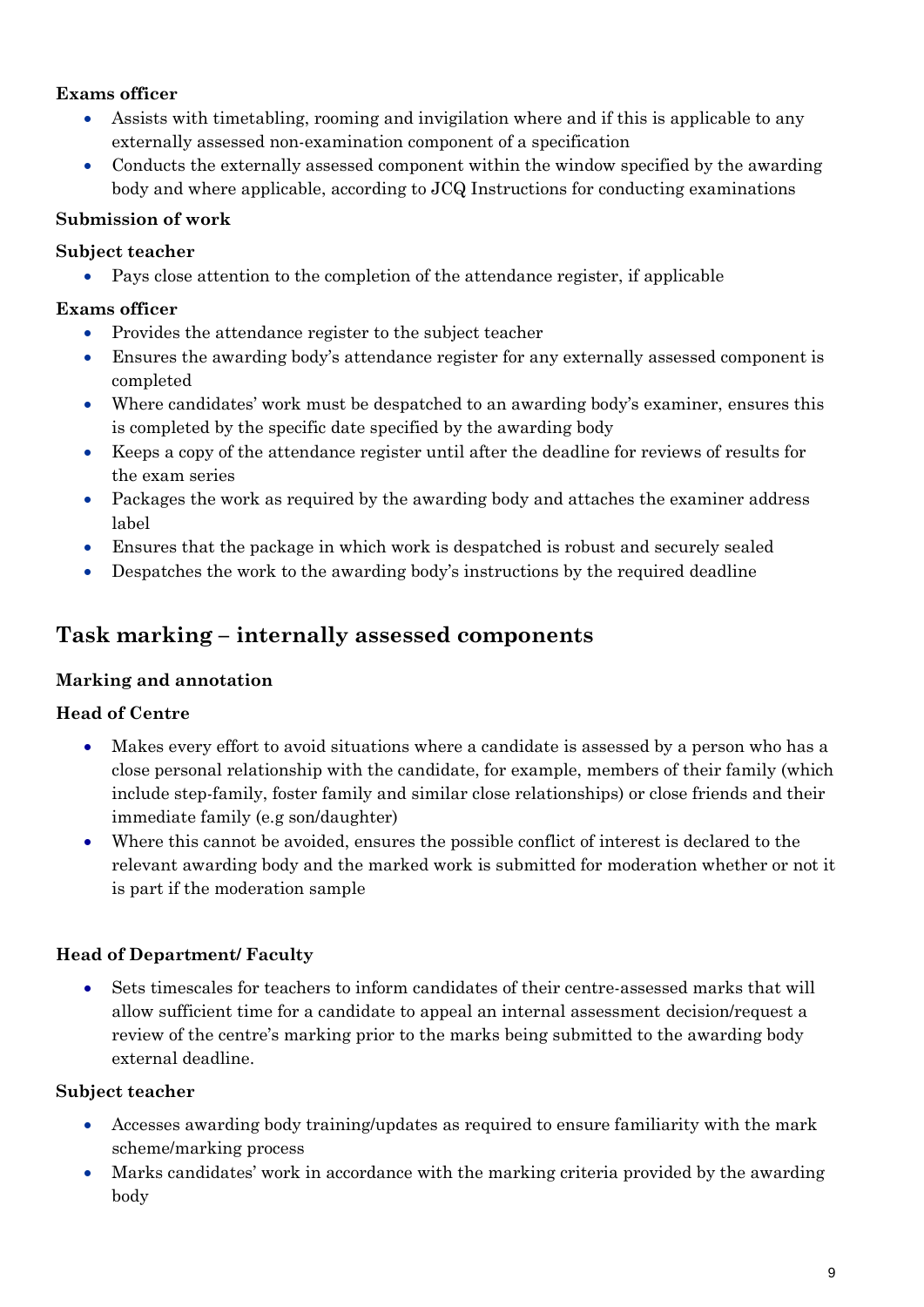#### **Exams officer**

- Assists with timetabling, rooming and invigilation where and if this is applicable to any externally assessed non-examination component of a specification
- Conducts the externally assessed component within the window specified by the awarding body and where applicable, according to JCQ Instructions for conducting examinations

#### <span id="page-8-0"></span>**Submission of work**

#### **Subject teacher**

• Pays close attention to the completion of the attendance register, if applicable

#### **Exams officer**

- Provides the attendance register to the subject teacher
- Ensures the awarding body's attendance register for any externally assessed component is completed
- Where candidates' work must be despatched to an awarding body's examiner, ensures this is completed by the specific date specified by the awarding body
- Keeps a copy of the attendance register until after the deadline for reviews of results for the exam series
- Packages the work as required by the awarding body and attaches the examiner address label
- Ensures that the package in which work is despatched is robust and securely sealed
- Despatches the work to the awarding body's instructions by the required deadline

## <span id="page-8-1"></span>**Task marking – internally assessed components**

#### <span id="page-8-2"></span>**Marking and annotation**

#### **Head of Centre**

- Makes every effort to avoid situations where a candidate is assessed by a person who has a close personal relationship with the candidate, for example, members of their family (which include step-family, foster family and similar close relationships) or close friends and their immediate family (e.g son/daughter)
- Where this cannot be avoided, ensures the possible conflict of interest is declared to the relevant awarding body and the marked work is submitted for moderation whether or not it is part if the moderation sample

#### **Head of Department/ Faculty**

• Sets timescales for teachers to inform candidates of their centre-assessed marks that will allow sufficient time for a candidate to appeal an internal assessment decision/request a review of the centre's marking prior to the marks being submitted to the awarding body external deadline.

- Accesses awarding body training/updates as required to ensure familiarity with the mark scheme/marking process
- Marks candidates' work in accordance with the marking criteria provided by the awarding body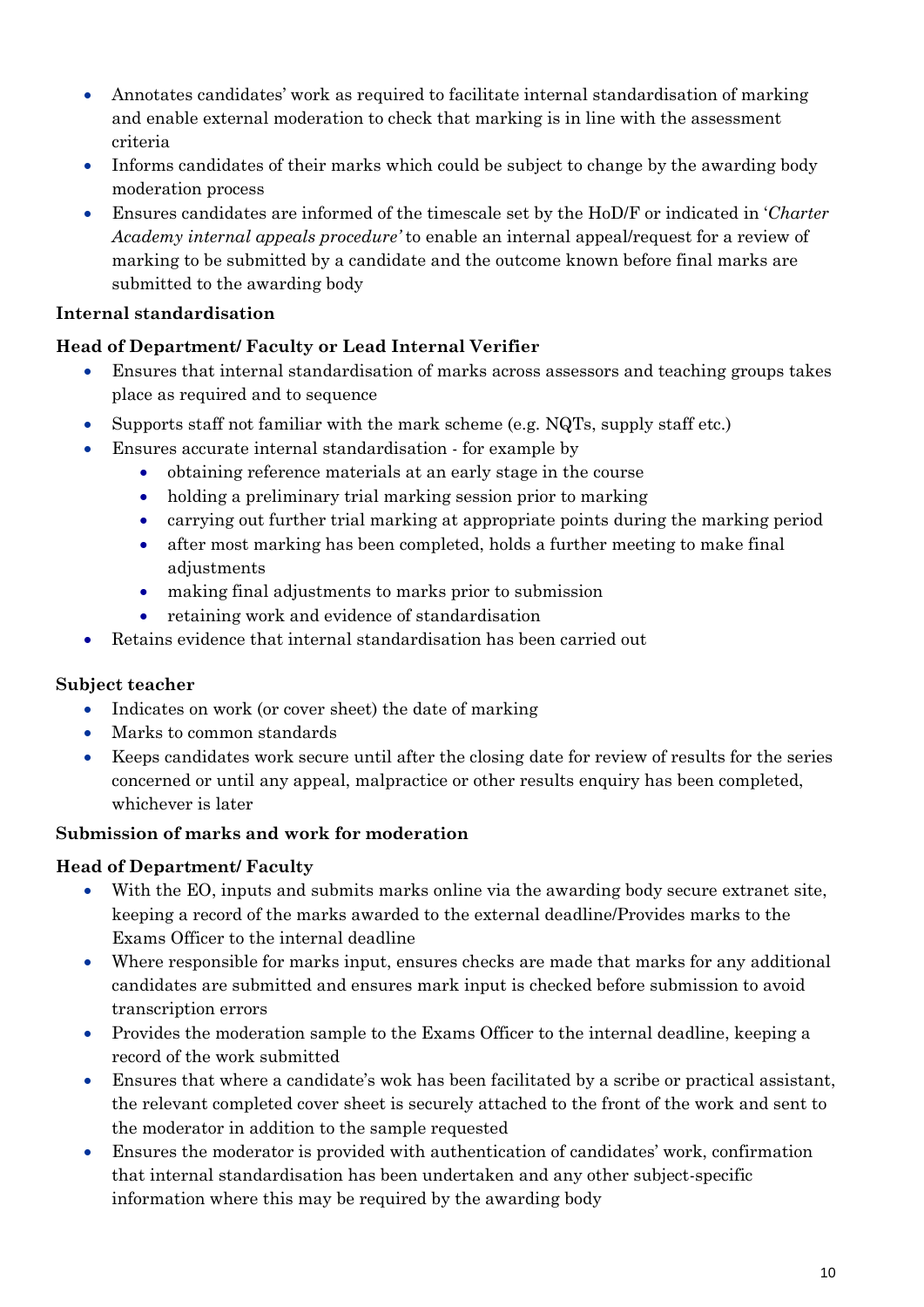- Annotates candidates' work as required to facilitate internal standardisation of marking and enable external moderation to check that marking is in line with the assessment criteria
- Informs candidates of their marks which could be subject to change by the awarding body moderation process
- Ensures candidates are informed of the timescale set by the HoD/F or indicated in '*Charter Academy internal appeals procedure'* to enable an internal appeal/request for a review of marking to be submitted by a candidate and the outcome known before final marks are submitted to the awarding body

#### <span id="page-9-0"></span>**Internal standardisation**

#### **Head of Department/ Faculty or Lead Internal Verifier**

- Ensures that internal standardisation of marks across assessors and teaching groups takes place as required and to sequence
- Supports staff not familiar with the mark scheme (e.g. NQTs, supply staff etc.)
- Ensures accurate internal standardisation for example by
	- obtaining reference materials at an early stage in the course
	- holding a preliminary trial marking session prior to marking
	- carrying out further trial marking at appropriate points during the marking period
	- after most marking has been completed, holds a further meeting to make final adjustments
	- making final adjustments to marks prior to submission
	- retaining work and evidence of standardisation
- Retains evidence that internal standardisation has been carried out

#### **Subject teacher**

- Indicates on work (or cover sheet) the date of marking
- Marks to common standards
- Keeps candidates work secure until after the closing date for review of results for the series concerned or until any appeal, malpractice or other results enquiry has been completed, whichever is later

#### <span id="page-9-1"></span>**Submission of marks and work for moderation**

#### **Head of Department/ Faculty**

- With the EO, inputs and submits marks online via the awarding body secure extranet site, keeping a record of the marks awarded to the external deadline/Provides marks to the Exams Officer to the internal deadline
- Where responsible for marks input, ensures checks are made that marks for any additional candidates are submitted and ensures mark input is checked before submission to avoid transcription errors
- Provides the moderation sample to the Exams Officer to the internal deadline, keeping a record of the work submitted
- Ensures that where a candidate's wok has been facilitated by a scribe or practical assistant, the relevant completed cover sheet is securely attached to the front of the work and sent to the moderator in addition to the sample requested
- Ensures the moderator is provided with authentication of candidates' work, confirmation that internal standardisation has been undertaken and any other subject-specific information where this may be required by the awarding body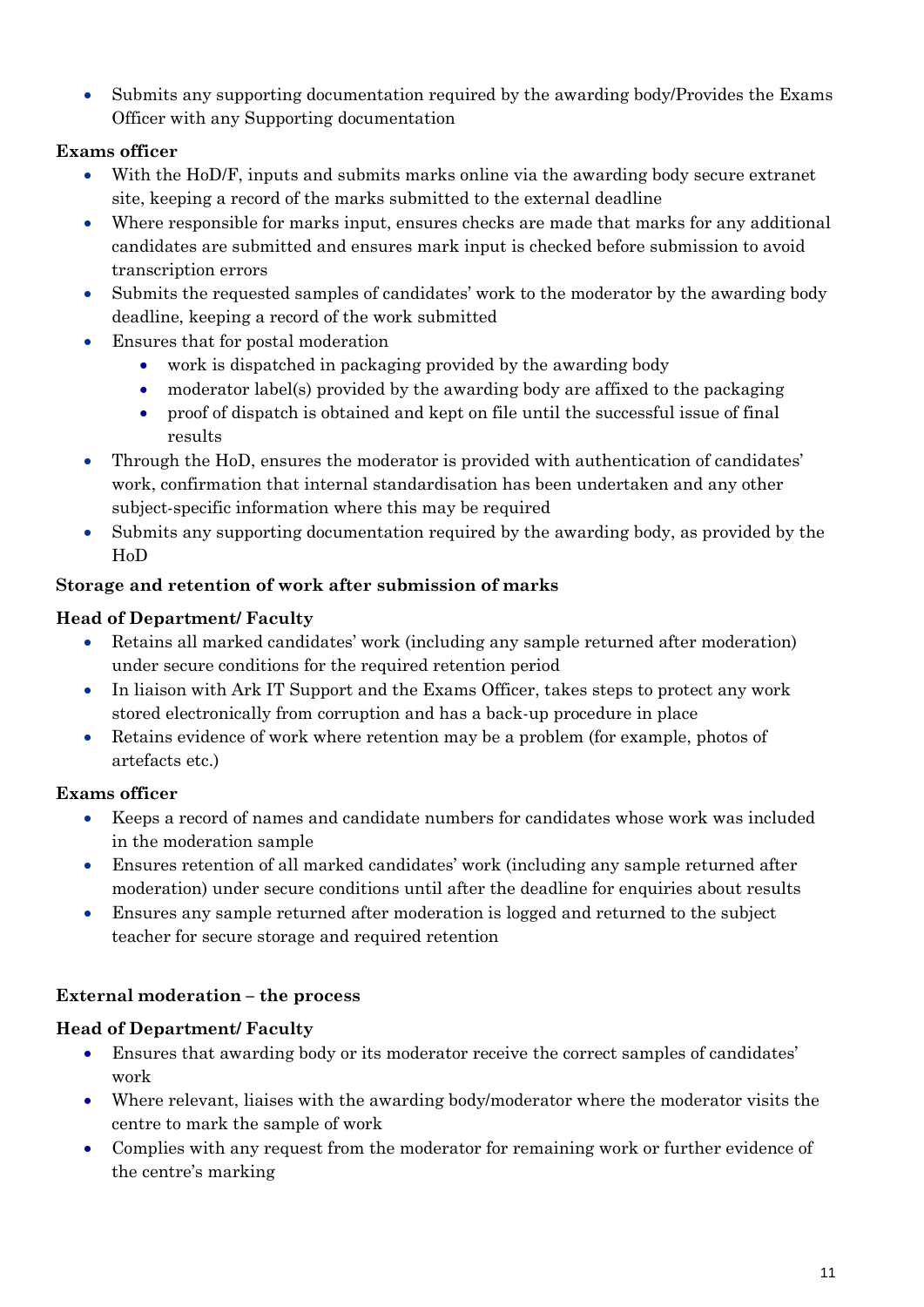• Submits any supporting documentation required by the awarding body/Provides the Exams Officer with any Supporting documentation

#### **Exams officer**

- With the HoD/F, inputs and submits marks online via the awarding body secure extranet site, keeping a record of the marks submitted to the external deadline
- Where responsible for marks input, ensures checks are made that marks for any additional candidates are submitted and ensures mark input is checked before submission to avoid transcription errors
- Submits the requested samples of candidates' work to the moderator by the awarding body deadline, keeping a record of the work submitted
- Ensures that for postal moderation
	- work is dispatched in packaging provided by the awarding body
	- moderator label(s) provided by the awarding body are affixed to the packaging
	- proof of dispatch is obtained and kept on file until the successful issue of final results
- Through the HoD, ensures the moderator is provided with authentication of candidates' work, confirmation that internal standardisation has been undertaken and any other subject-specific information where this may be required
- Submits any supporting documentation required by the awarding body, as provided by the HoD

#### <span id="page-10-0"></span>**Storage and retention of work after submission of marks**

#### **Head of Department/ Faculty**

- Retains all marked candidates' work (including any sample returned after moderation) under secure conditions for the required retention period
- In liaison with Ark IT Support and the Exams Officer, takes steps to protect any work stored electronically from corruption and has a back-up procedure in place
- Retains evidence of work where retention may be a problem (for example, photos of artefacts etc.)

#### **Exams officer**

- Keeps a record of names and candidate numbers for candidates whose work was included in the moderation sample
- Ensures retention of all marked candidates' work (including any sample returned after moderation) under secure conditions until after the deadline for enquiries about results
- Ensures any sample returned after moderation is logged and returned to the subject teacher for secure storage and required retention

#### <span id="page-10-1"></span>**External moderation – the process**

#### **Head of Department/ Faculty**

- Ensures that awarding body or its moderator receive the correct samples of candidates' work
- Where relevant, liaises with the awarding body/moderator where the moderator visits the centre to mark the sample of work
- Complies with any request from the moderator for remaining work or further evidence of the centre's marking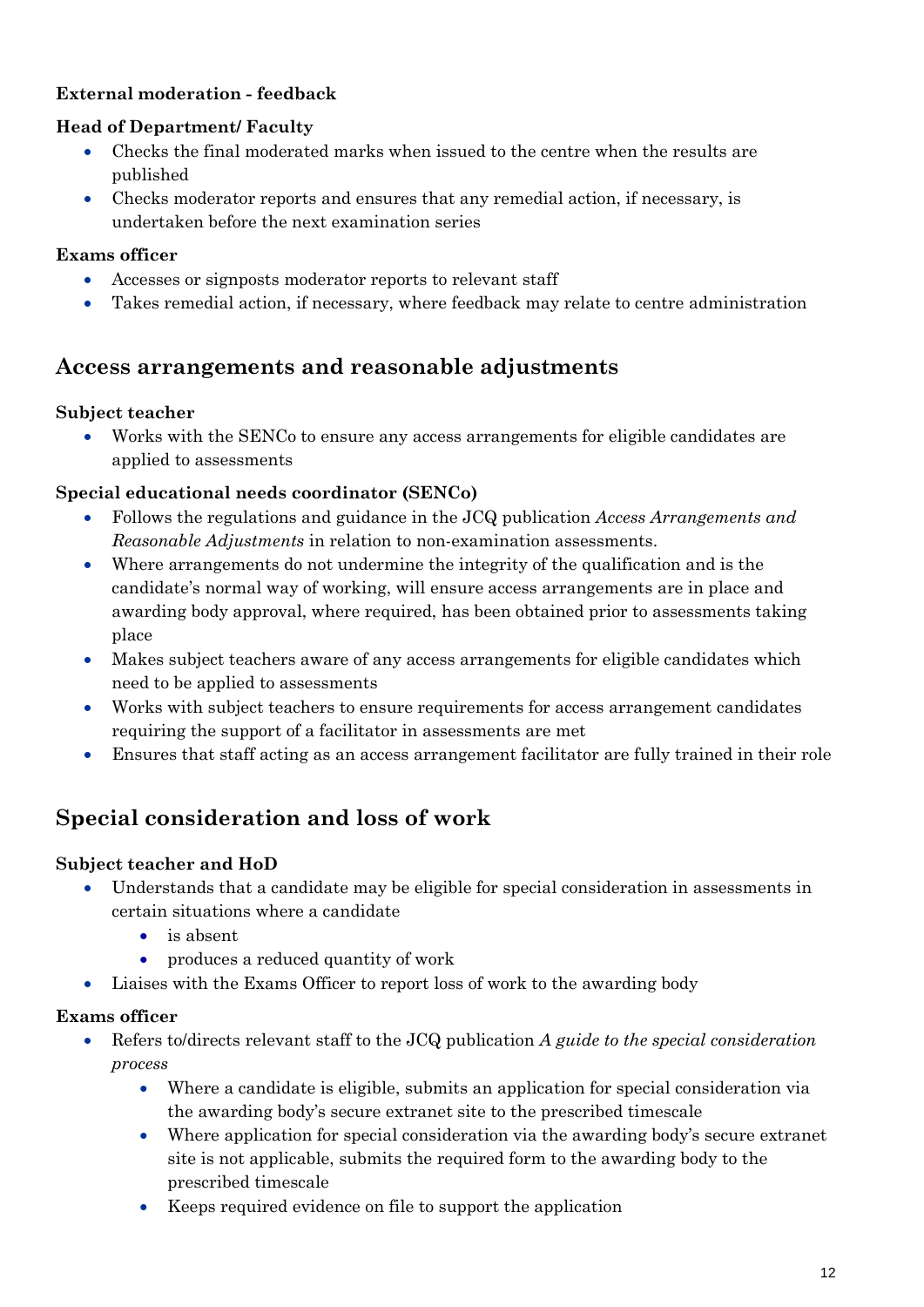#### <span id="page-11-0"></span>**External moderation - feedback**

#### **Head of Department/ Faculty**

- Checks the final moderated marks when issued to the centre when the results are published
- Checks moderator reports and ensures that any remedial action, if necessary, is undertaken before the next examination series

#### **Exams officer**

- Accesses or signposts moderator reports to relevant staff
- Takes remedial action, if necessary, where feedback may relate to centre administration

## <span id="page-11-1"></span>**Access arrangements and reasonable adjustments**

#### **Subject teacher**

• Works with the SENC<sub>o</sub> to ensure any access arrangements for eligible candidates are applied to assessments

#### **Special educational needs coordinator (SENCo)**

- Follows the regulations and guidance in the JCQ publication *Access Arrangements and Reasonable Adjustments* in relation to non-examination assessments.
- Where arrangements do not undermine the integrity of the qualification and is the candidate's normal way of working, will ensure access arrangements are in place and awarding body approval, where required, has been obtained prior to assessments taking place
- Makes subject teachers aware of any access arrangements for eligible candidates which need to be applied to assessments
- Works with subject teachers to ensure requirements for access arrangement candidates requiring the support of a facilitator in assessments are met
- Ensures that staff acting as an access arrangement facilitator are fully trained in their role

## <span id="page-11-2"></span>**Special consideration and loss of work**

#### **Subject teacher and HoD**

- Understands that a candidate may be eligible for special consideration in assessments in certain situations where a candidate
	- is absent
	- produces a reduced quantity of work
- Liaises with the Exams Officer to report loss of work to the awarding body

#### **Exams officer**

- Refers to/directs relevant staff to the JCQ publication *A guide to the special consideration process* 
	- Where a candidate is eligible, submits an application for special consideration via the awarding body's secure extranet site to the prescribed timescale
	- Where application for special consideration via the awarding body's secure extranet site is not applicable, submits the required form to the awarding body to the prescribed timescale
	- Keeps required evidence on file to support the application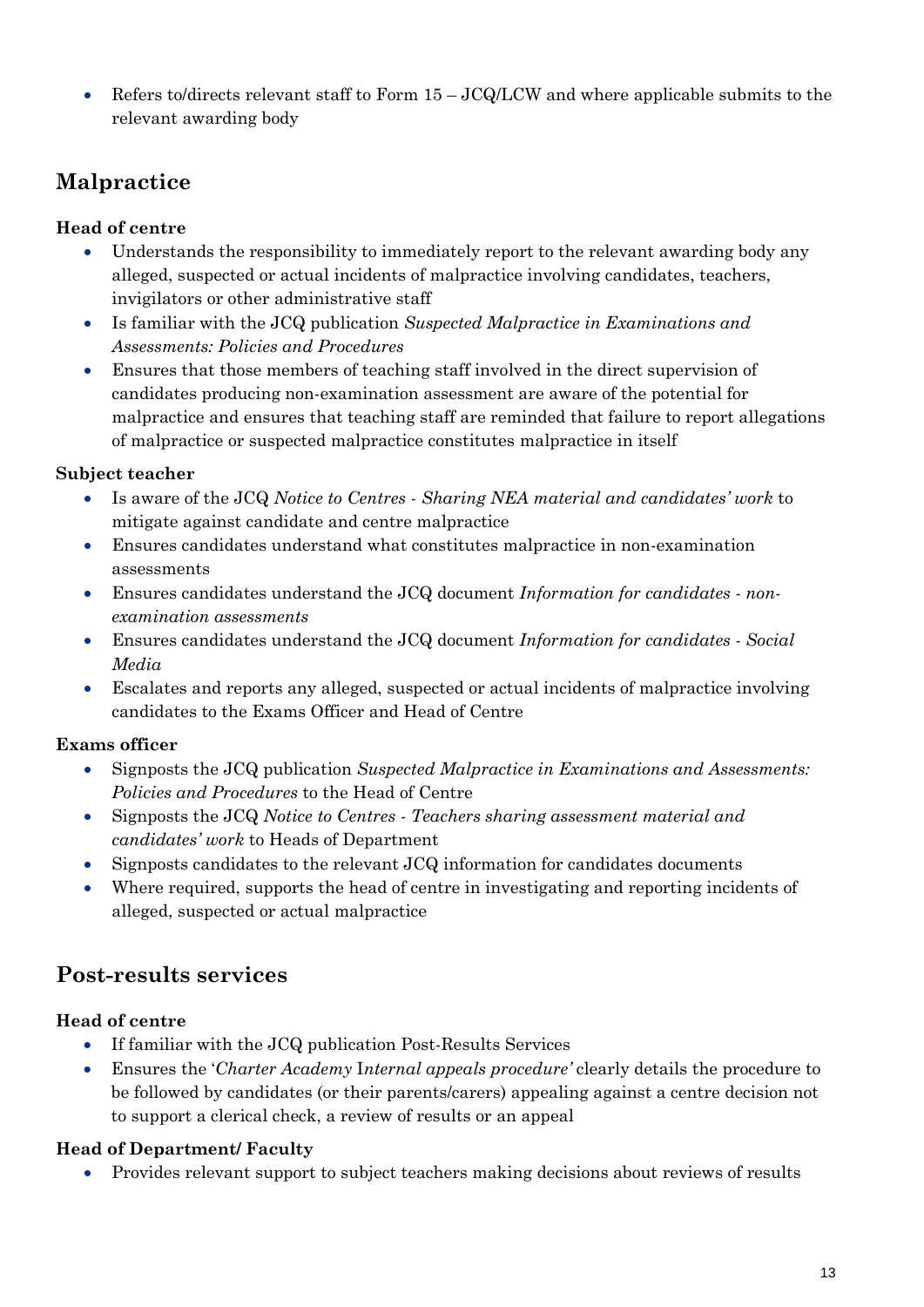Refers to/directs relevant staff to Form  $15 - JCQ/LCW$  and where applicable submits to the relevant awarding body

# <span id="page-12-0"></span>**Malpractice**

#### **Head of centre**

- Understands the responsibility to immediately report to the relevant awarding body any alleged, suspected or actual incidents of malpractice involving candidates, teachers, invigilators or other administrative staff
- Is familiar with the JCQ publication *Suspected Malpractice in Examinations and Assessments: Policies and Procedures*
- Ensures that those members of teaching staff involved in the direct supervision of candidates producing non-examination assessment are aware of the potential for malpractice and ensures that teaching staff are reminded that failure to report allegations of malpractice or suspected malpractice constitutes malpractice in itself

#### **Subject teacher**

- Is aware of the JCQ *Notice to Centres - Sharing NEA material and candidates' work* to mitigate against candidate and centre malpractice
- Ensures candidates understand what constitutes malpractice in non-examination assessments
- Ensures candidates understand the JCQ document *Information for candidates - nonexamination assessments*
- Ensures candidates understand the JCQ document *Information for candidates - Social Media*
- Escalates and reports any alleged, suspected or actual incidents of malpractice involving candidates to the Exams Officer and Head of Centre

#### **Exams officer**

- Signposts the JCQ publication *Suspected Malpractice in Examinations and Assessments: Policies and Procedures* to the Head of Centre
- Signposts the JCQ *Notice to Centres - Teachers sharing assessment material and candidates' work* to Heads of Department
- Signposts candidates to the relevant JCQ information for candidates documents
- Where required, supports the head of centre in investigating and reporting incidents of alleged, suspected or actual malpractice

## <span id="page-12-1"></span>**Post-results services**

#### **Head of centre**

- If familiar with the JCQ publication Post-Results Services
- Ensures the '*Charter Academy* I*nternal appeals procedure'* clearly details the procedure to be followed by candidates (or their parents/carers) appealing against a centre decision not to support a clerical check, a review of results or an appeal

#### **Head of Department/ Faculty**

• Provides relevant support to subject teachers making decisions about reviews of results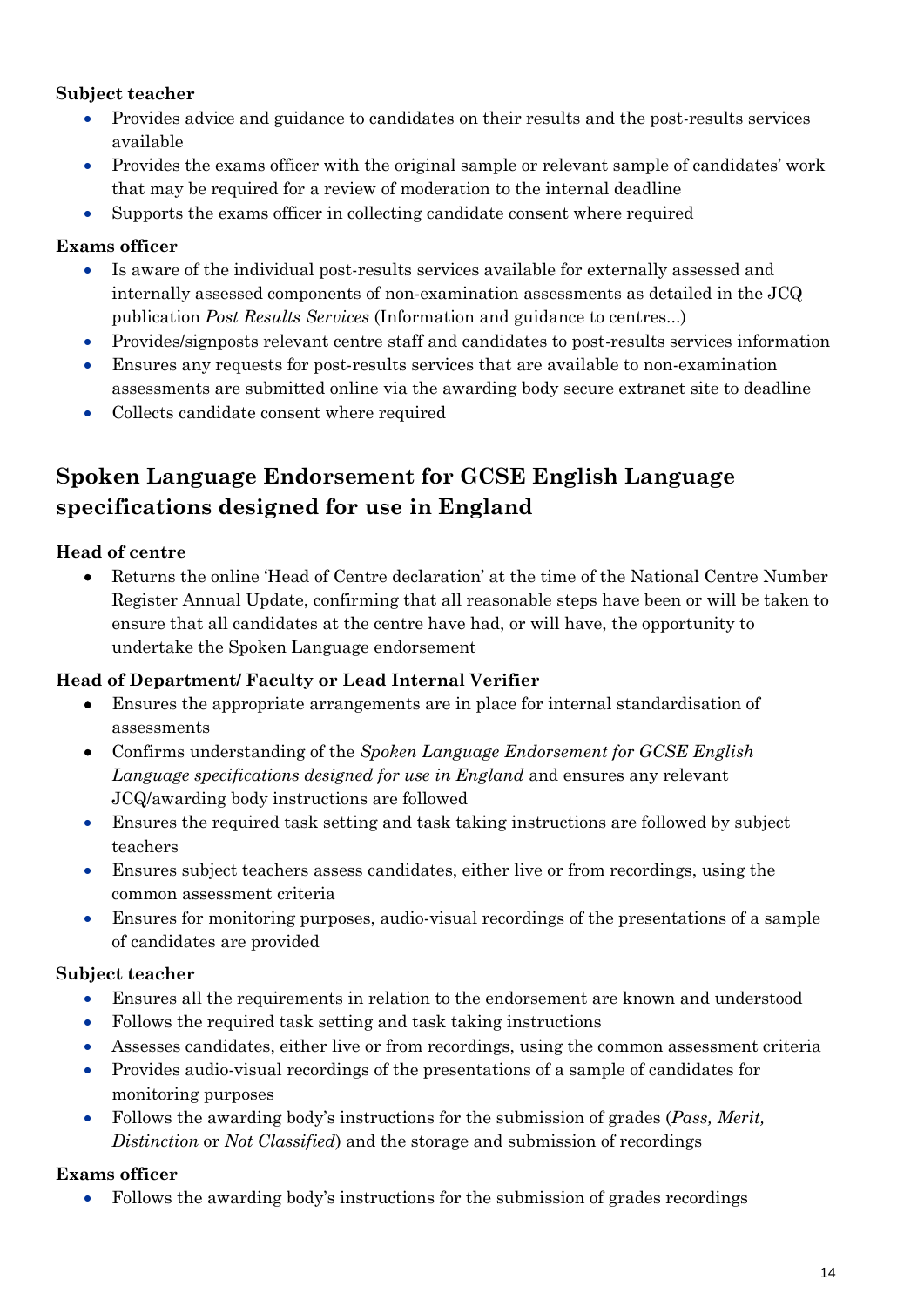#### **Subject teacher**

- Provides advice and guidance to candidates on their results and the post-results services available
- Provides the exams officer with the original sample or relevant sample of candidates' work that may be required for a review of moderation to the internal deadline
- Supports the exams officer in collecting candidate consent where required

#### **Exams officer**

- Is aware of the individual post-results services available for externally assessed and internally assessed components of non-examination assessments as detailed in the JCQ publication *Post Results Services* (Information and guidance to centres...)
- Provides/signposts relevant centre staff and candidates to post-results services information
- Ensures any requests for post-results services that are available to non-examination
- assessments are submitted online via the awarding body secure extranet site to deadline
- Collects candidate consent where required

## <span id="page-13-0"></span>**Spoken Language Endorsement for GCSE English Language specifications designed for use in England**

#### **Head of centre**

• Returns the online 'Head of Centre declaration' at the time of the National Centre Number Register Annual Update, confirming that all reasonable steps have been or will be taken to ensure that all candidates at the centre have had, or will have, the opportunity to undertake the Spoken Language endorsement

#### **Head of Department/ Faculty or Lead Internal Verifier**

- Ensures the appropriate arrangements are in place for internal standardisation of assessments
- Confirms understanding of the *Spoken Language Endorsement for GCSE English Language specifications designed for use in England* and ensures any relevant JCQ/awarding body instructions are followed
- Ensures the required task setting and task taking instructions are followed by subject teachers
- Ensures subject teachers assess candidates, either live or from recordings, using the common assessment criteria
- Ensures for monitoring purposes, audio-visual recordings of the presentations of a sample of candidates are provided

#### **Subject teacher**

- Ensures all the requirements in relation to the endorsement are known and understood
- Follows the required task setting and task taking instructions
- Assesses candidates, either live or from recordings, using the common assessment criteria
- Provides audio-visual recordings of the presentations of a sample of candidates for monitoring purposes
- Follows the awarding body's instructions for the submission of grades (*Pass, Merit, Distinction* or *Not Classified*) and the storage and submission of recordings

#### **Exams officer**

• Follows the awarding body's instructions for the submission of grades recordings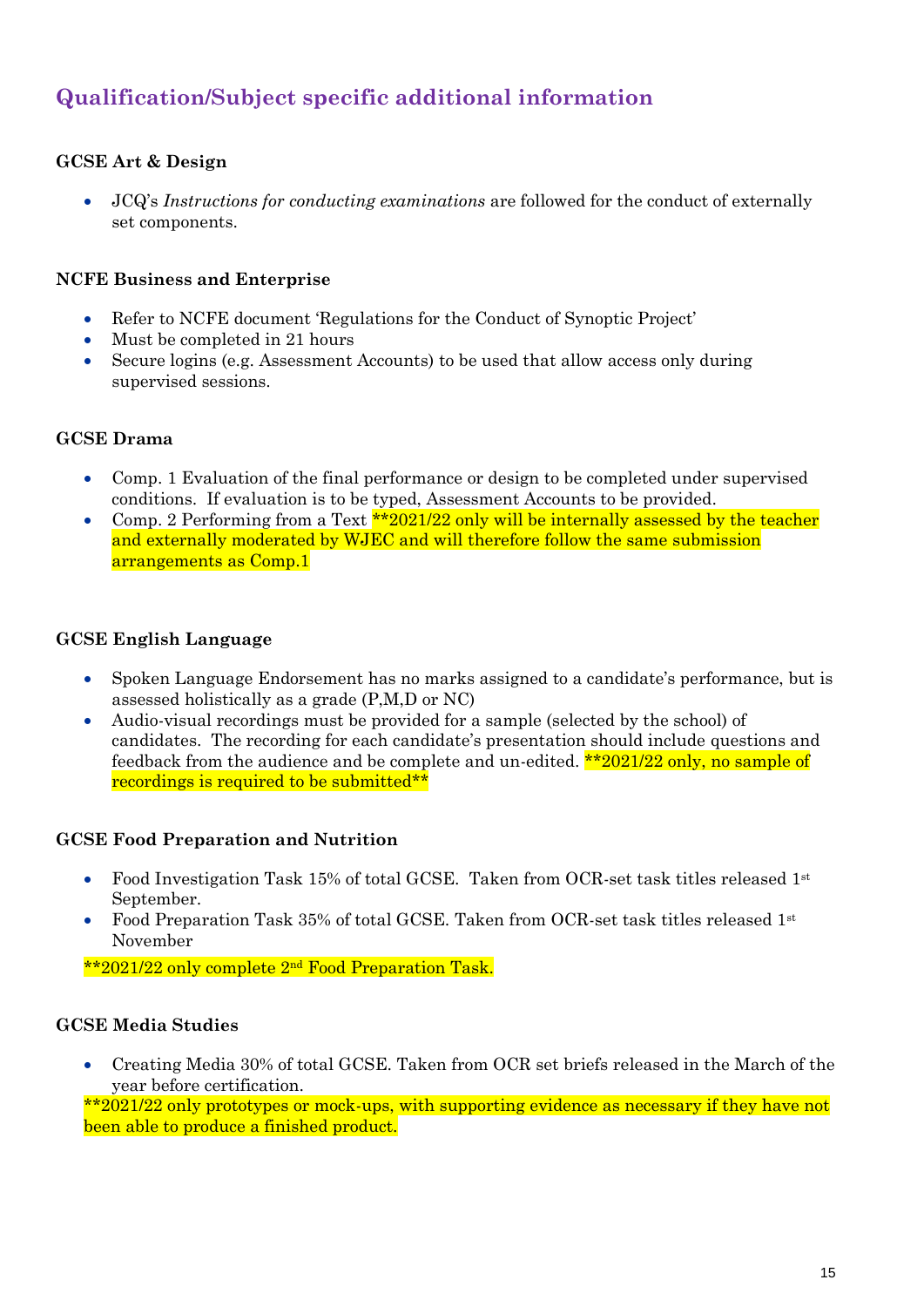# **Qualification/Subject specific additional information**

#### **GCSE Art & Design**

• JCQ's *Instructions for conducting examinations* are followed for the conduct of externally set components.

#### **NCFE Business and Enterprise**

- Refer to NCFE document 'Regulations for the Conduct of Synoptic Project'
- Must be completed in 21 hours
- Secure logins (e.g. Assessment Accounts) to be used that allow access only during supervised sessions.

#### **GCSE Drama**

- Comp. 1 Evaluation of the final performance or design to be completed under supervised conditions. If evaluation is to be typed, Assessment Accounts to be provided.
- Comp. 2 Performing from a Text \*\*2021/22 only will be internally assessed by the teacher and externally moderated by WJEC and will therefore follow the same submission arrangements as Comp.1

#### **GCSE English Language**

- Spoken Language Endorsement has no marks assigned to a candidate's performance, but is assessed holistically as a grade (P,M,D or NC)
- Audio-visual recordings must be provided for a sample (selected by the school) of candidates. The recording for each candidate's presentation should include questions and feedback from the audience and be complete and un-edited.  $*2021/22$  only, no sample of recordings is required to be submitted\*\*

#### **GCSE Food Preparation and Nutrition**

- Food Investigation Task 15% of total GCSE. Taken from OCR-set task titles released 1st September.
- Food Preparation Task 35% of total GCSE. Taken from OCR-set task titles released 1st November

\*\*2021/22 only complete 2<sup>nd</sup> Food Preparation Task.

#### **GCSE Media Studies**

• Creating Media 30% of total GCSE. Taken from OCR set briefs released in the March of the year before certification.

\*\*2021/22 only prototypes or mock-ups, with supporting evidence as necessary if they have not been able to produce a finished product.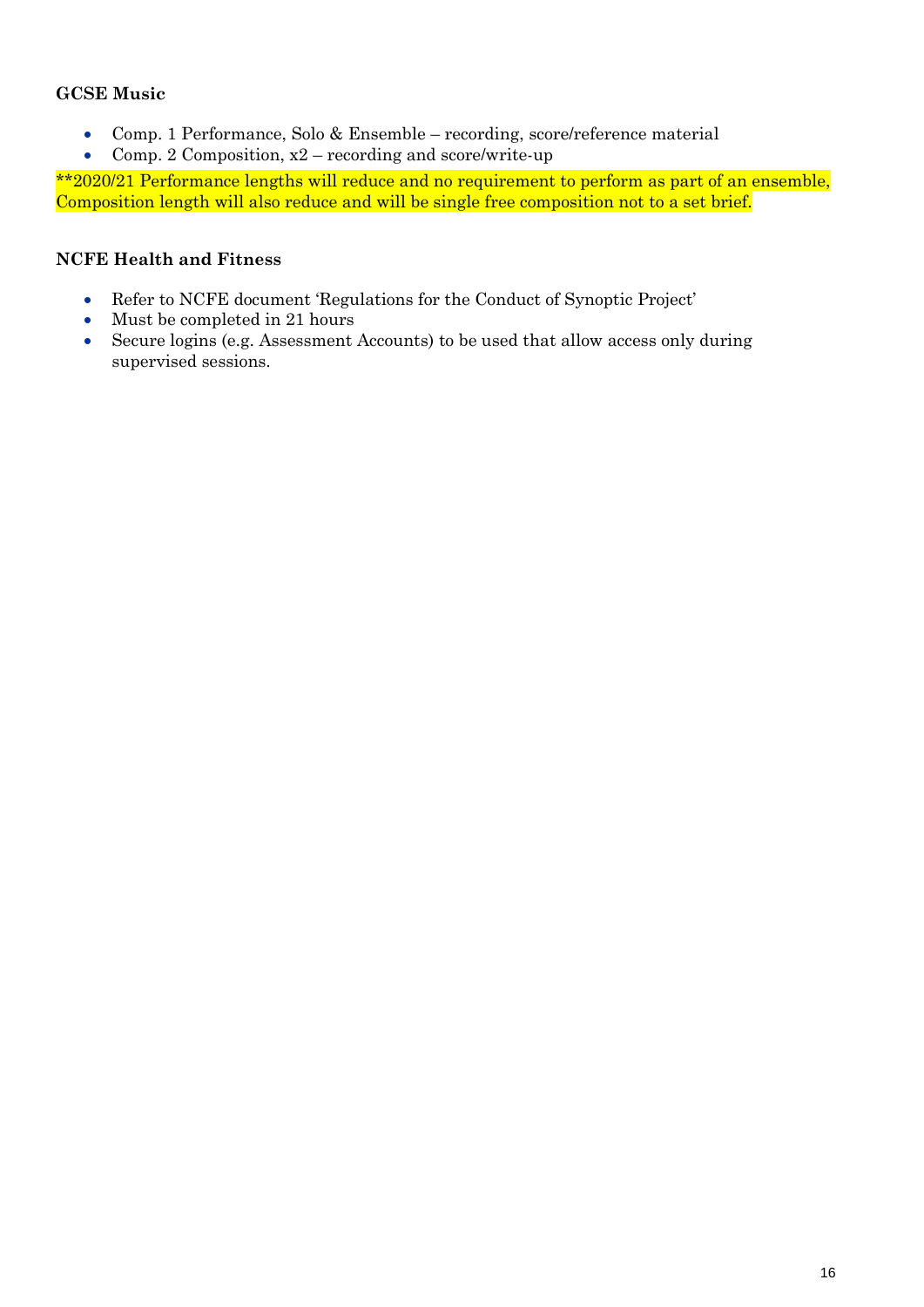#### **GCSE Music**

- Comp. 1 Performance, Solo & Ensemble recording, score/reference material
- Comp. 2 Composition,  $x^2$  recording and score/write-up

\*\*2020/21 Performance lengths will reduce and no requirement to perform as part of an ensemble, Composition length will also reduce and will be single free composition not to a set brief.

#### **NCFE Health and Fitness**

- Refer to NCFE document 'Regulations for the Conduct of Synoptic Project'
- Must be completed in 21 hours
- Secure logins (e.g. Assessment Accounts) to be used that allow access only during supervised sessions.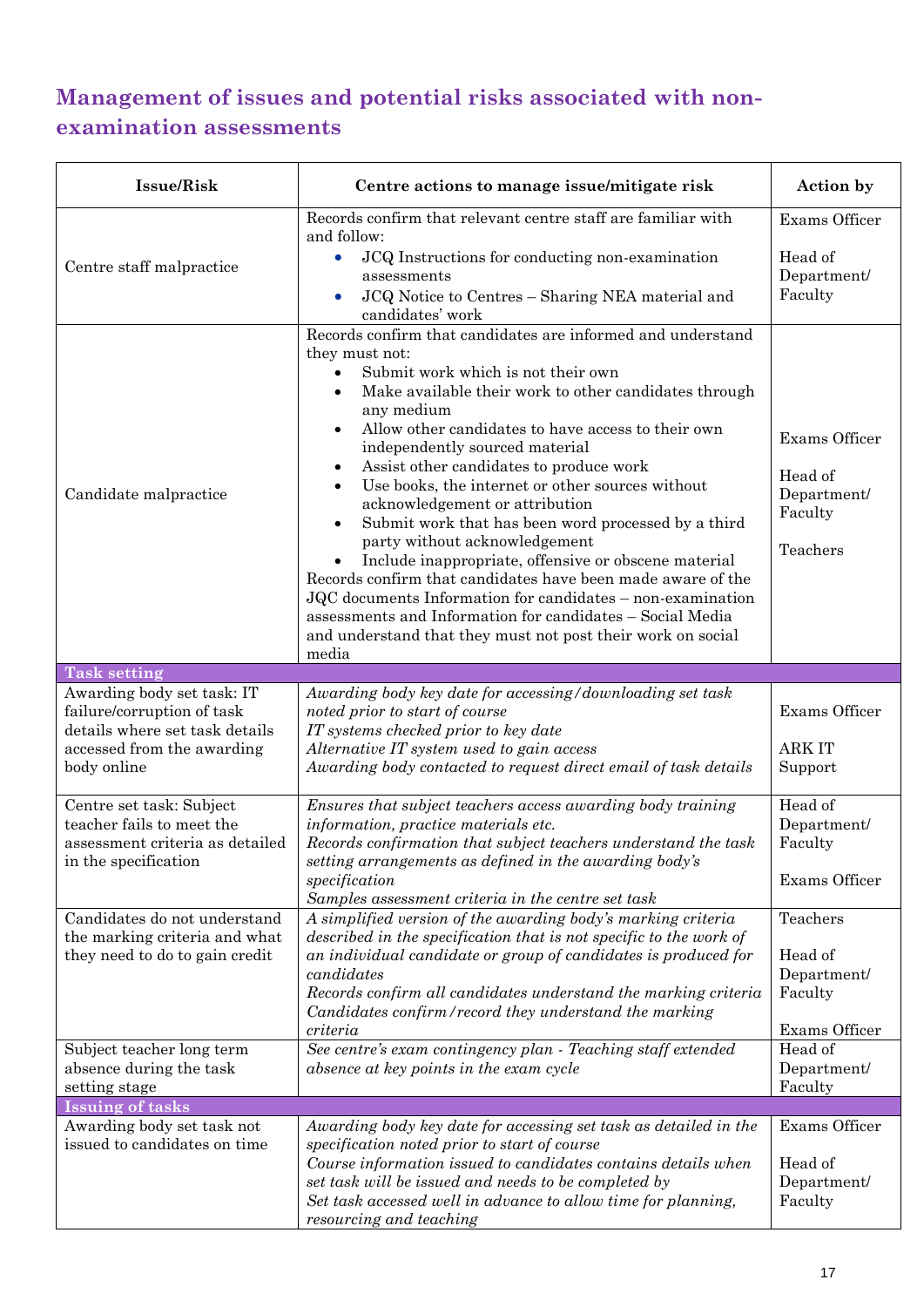# <span id="page-16-0"></span>**Management of issues and potential risks associated with nonexamination assessments**

| <b>Issue/Risk</b>                                                                                                                       | Centre actions to manage issue/mitigate risk                                                                                                                                                                                                                                                                                                                                                                                                                                                                                                                                                                                                                                                                                                                                                                                          | Action by                                                      |
|-----------------------------------------------------------------------------------------------------------------------------------------|---------------------------------------------------------------------------------------------------------------------------------------------------------------------------------------------------------------------------------------------------------------------------------------------------------------------------------------------------------------------------------------------------------------------------------------------------------------------------------------------------------------------------------------------------------------------------------------------------------------------------------------------------------------------------------------------------------------------------------------------------------------------------------------------------------------------------------------|----------------------------------------------------------------|
| Centre staff malpractice                                                                                                                | Records confirm that relevant centre staff are familiar with<br>and follow:<br>JCQ Instructions for conducting non-examination<br>assessments<br>JCQ Notice to Centres - Sharing NEA material and<br>$\bullet$<br>candidates' work                                                                                                                                                                                                                                                                                                                                                                                                                                                                                                                                                                                                    | Exams Officer<br>Head of<br>Department/<br>Faculty             |
| Candidate malpractice                                                                                                                   | Records confirm that candidates are informed and understand<br>they must not:<br>Submit work which is not their own<br>Make available their work to other candidates through<br>any medium<br>Allow other candidates to have access to their own<br>independently sourced material<br>Assist other candidates to produce work<br>Use books, the internet or other sources without<br>acknowledgement or attribution<br>Submit work that has been word processed by a third<br>party without acknowledgement<br>Include inappropriate, offensive or obscene material<br>Records confirm that candidates have been made aware of the<br>JQC documents Information for candidates - non-examination<br>assessments and Information for candidates - Social Media<br>and understand that they must not post their work on social<br>media | Exams Officer<br>Head of<br>Department/<br>Faculty<br>Teachers |
| <b>Task setting</b>                                                                                                                     |                                                                                                                                                                                                                                                                                                                                                                                                                                                                                                                                                                                                                                                                                                                                                                                                                                       |                                                                |
| Awarding body set task: IT<br>failure/corruption of task<br>details where set task details<br>accessed from the awarding<br>body online | Awarding body key date for accessing/downloading set task<br>noted prior to start of course<br>IT systems checked prior to key date<br>Alternative IT system used to gain access<br>Awarding body contacted to request direct email of task details                                                                                                                                                                                                                                                                                                                                                                                                                                                                                                                                                                                   | Exams Officer<br><b>ARK IT</b><br>Support                      |
| Centre set task: Subject<br>teacher fails to meet the<br>assessment criteria as detailed<br>in the specification                        | Ensures that subject teachers access awarding body training<br>information, practice materials etc.<br>Records confirmation that subject teachers understand the task<br>setting arrangements as defined in the awarding body's<br>specification<br>Samples assessment criteria in the centre set task                                                                                                                                                                                                                                                                                                                                                                                                                                                                                                                                | Head of<br>Department/<br>Faculty<br>Exams Officer             |
| Candidates do not understand<br>the marking criteria and what<br>they need to do to gain credit                                         | A simplified version of the awarding body's marking criteria<br>described in the specification that is not specific to the work of<br>an individual candidate or group of candidates is produced for<br>candidates<br>Records confirm all candidates understand the marking criteria<br>Candidates confirm/record they understand the marking<br>criteria                                                                                                                                                                                                                                                                                                                                                                                                                                                                             | Teachers<br>Head of<br>Department/<br>Faculty<br>Exams Officer |
| Subject teacher long term<br>absence during the task<br>setting stage                                                                   | See centre's exam contingency plan - Teaching staff extended<br>absence at key points in the exam cycle                                                                                                                                                                                                                                                                                                                                                                                                                                                                                                                                                                                                                                                                                                                               | Head of<br>Department/<br>Faculty                              |
| <b>Issuing of tasks</b>                                                                                                                 |                                                                                                                                                                                                                                                                                                                                                                                                                                                                                                                                                                                                                                                                                                                                                                                                                                       |                                                                |
| Awarding body set task not<br>issued to candidates on time                                                                              | Awarding body key date for accessing set task as detailed in the<br>specification noted prior to start of course<br>Course information issued to candidates contains details when<br>set task will be issued and needs to be completed by<br>Set task accessed well in advance to allow time for planning,<br>resourcing and teaching                                                                                                                                                                                                                                                                                                                                                                                                                                                                                                 | Exams Officer<br>Head of<br>Department/<br>Faculty             |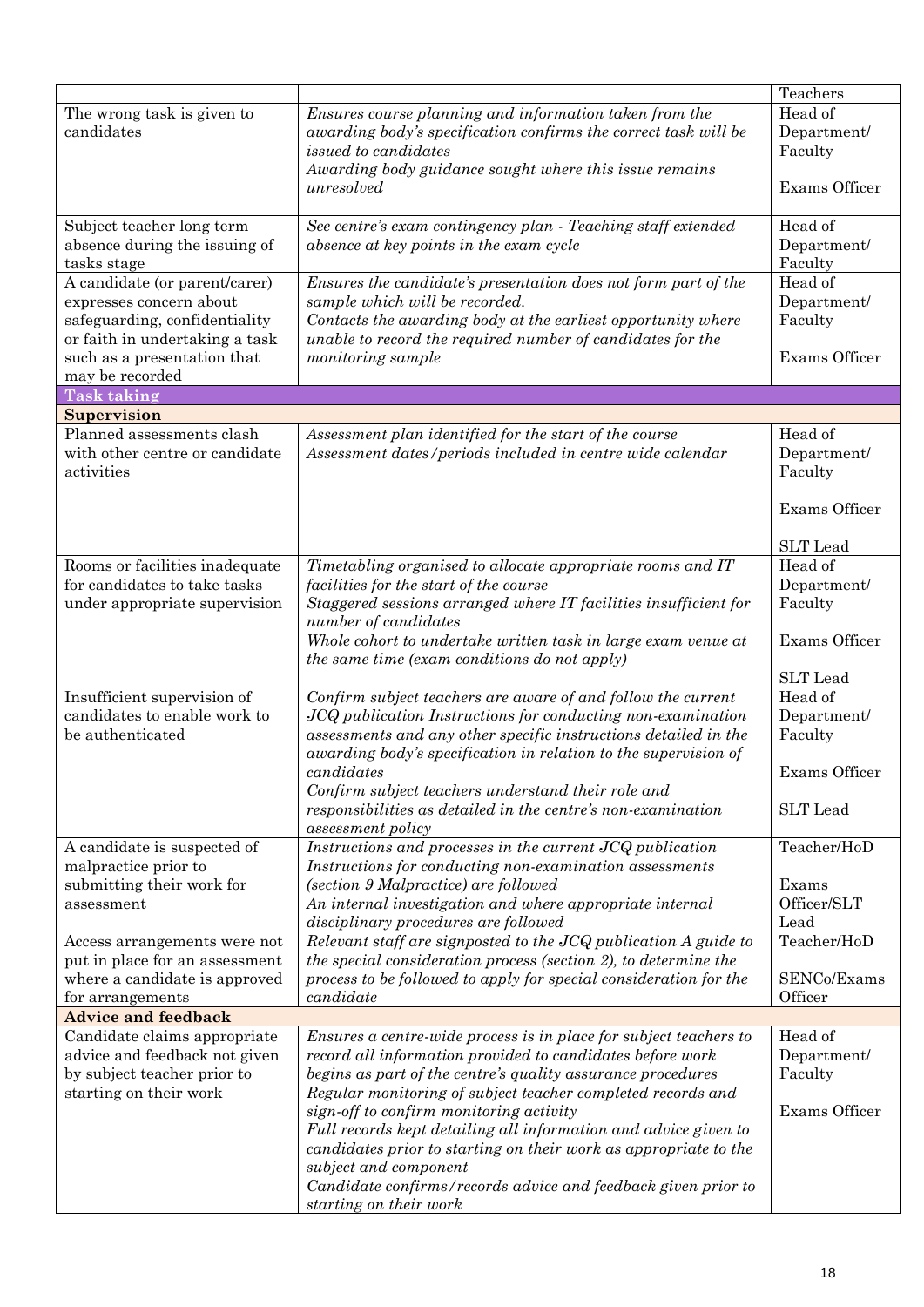|                                                                                                                                                                               |                                                                                                                                                                                                                                                                                                                                                                                                                                                                         | Teachers                                                                |
|-------------------------------------------------------------------------------------------------------------------------------------------------------------------------------|-------------------------------------------------------------------------------------------------------------------------------------------------------------------------------------------------------------------------------------------------------------------------------------------------------------------------------------------------------------------------------------------------------------------------------------------------------------------------|-------------------------------------------------------------------------|
| The wrong task is given to<br>candidates                                                                                                                                      | Ensures course planning and information taken from the<br>awarding body's specification confirms the correct task will be<br>issued to candidates<br>Awarding body guidance sought where this issue remains<br>unresolved                                                                                                                                                                                                                                               | Head of<br>Department/<br>Faculty<br>Exams Officer                      |
| Subject teacher long term<br>absence during the issuing of<br>tasks stage                                                                                                     | See centre's exam contingency plan - Teaching staff extended<br>absence at key points in the exam cycle                                                                                                                                                                                                                                                                                                                                                                 | Head of<br>Department/<br>Faculty                                       |
| A candidate (or parent/carer)<br>expresses concern about<br>safeguarding, confidentiality<br>or faith in undertaking a task<br>such as a presentation that<br>may be recorded | Ensures the candidate's presentation does not form part of the<br>sample which will be recorded.<br>Contacts the awarding body at the earliest opportunity where<br>unable to record the required number of candidates for the<br>monitoring sample                                                                                                                                                                                                                     | Head of<br>Department/<br>Faculty<br>Exams Officer                      |
| <b>Task taking</b>                                                                                                                                                            |                                                                                                                                                                                                                                                                                                                                                                                                                                                                         |                                                                         |
| <b>Supervision</b>                                                                                                                                                            |                                                                                                                                                                                                                                                                                                                                                                                                                                                                         |                                                                         |
| Planned assessments clash<br>with other centre or candidate<br>activities                                                                                                     | Assessment plan identified for the start of the course<br>Assessment dates/periods included in centre wide calendar                                                                                                                                                                                                                                                                                                                                                     | Head of<br>Department/<br>Faculty<br>Exams Officer                      |
|                                                                                                                                                                               |                                                                                                                                                                                                                                                                                                                                                                                                                                                                         | <b>SLT</b> Lead                                                         |
| Rooms or facilities inadequate<br>for candidates to take tasks<br>under appropriate supervision                                                                               | Timetabling organised to allocate appropriate rooms and IT<br>facilities for the start of the course<br>Staggered sessions arranged where IT facilities insufficient for<br>number of candidates                                                                                                                                                                                                                                                                        | Head of<br>Department/<br>Faculty                                       |
|                                                                                                                                                                               | Whole cohort to undertake written task in large exam venue at<br>the same time (exam conditions do not apply)                                                                                                                                                                                                                                                                                                                                                           | Exams Officer<br><b>SLT</b> Lead                                        |
| Insufficient supervision of<br>candidates to enable work to<br>be authenticated                                                                                               | Confirm subject teachers are aware of and follow the current<br>JCQ publication Instructions for conducting non-examination<br>assessments and any other specific instructions detailed in the<br>awarding body's specification in relation to the supervision of<br>candidates<br>Confirm subject teachers understand their role and<br>responsibilities as detailed in the centre's non-examination<br>assessment policy                                              | Head $of$<br>Department/<br>Faculty<br>Exams Officer<br><b>SLT</b> Lead |
| A candidate is suspected of<br>malpractice prior to<br>submitting their work for<br>assessment                                                                                | Instructions and processes in the current JCQ publication<br>Instructions for conducting non-examination assessments<br>(section 9 Malpractice) are followed<br>An internal investigation and where appropriate internal<br>disciplinary procedures are followed                                                                                                                                                                                                        | Teacher/HoD<br>Exams<br>Officer/SLT<br>Lead                             |
| Access arrangements were not<br>put in place for an assessment<br>where a candidate is approved<br>for arrangements                                                           | Relevant staff are signposted to the JCQ publication A guide to<br>the special consideration process (section 2), to determine the<br>process to be followed to apply for special consideration for the<br>candidate                                                                                                                                                                                                                                                    | Teacher/HoD<br>SENCo/Exams<br>Officer                                   |
| <b>Advice and feedback</b>                                                                                                                                                    |                                                                                                                                                                                                                                                                                                                                                                                                                                                                         |                                                                         |
| Candidate claims appropriate<br>advice and feedback not given<br>by subject teacher prior to<br>starting on their work                                                        | Ensures a centre-wide process is in place for subject teachers to<br>record all information provided to candidates before work<br>begins as part of the centre's quality assurance procedures<br>Regular monitoring of subject teacher completed records and<br>sign-off to confirm monitoring activity<br>Full records kept detailing all information and advice given to<br>candidates prior to starting on their work as appropriate to the<br>subject and component | Head of<br>Department/<br>Faculty<br>Exams Officer                      |
|                                                                                                                                                                               | Candidate confirms/records advice and feedback given prior to<br>starting on their work                                                                                                                                                                                                                                                                                                                                                                                 |                                                                         |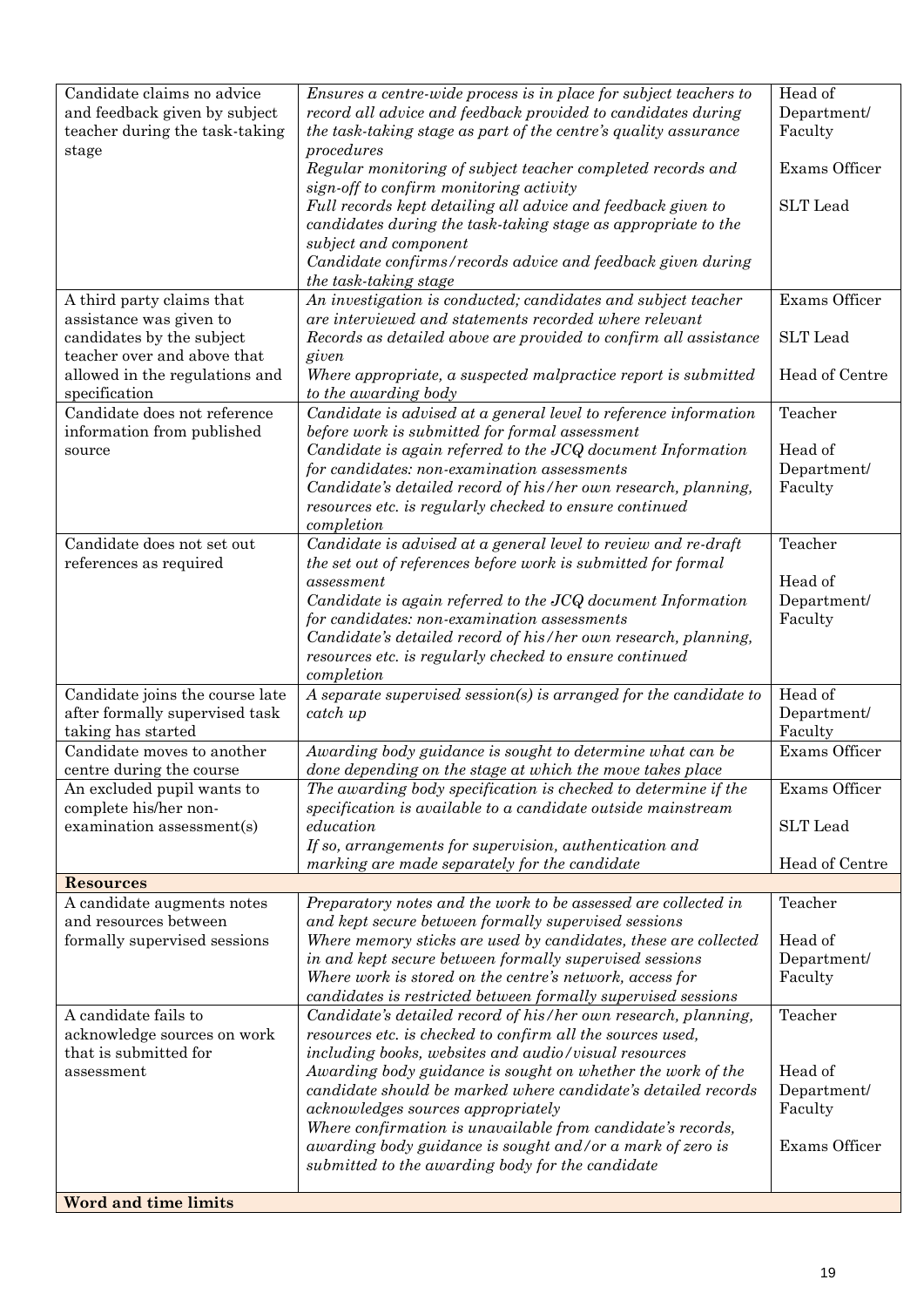| Candidate claims no advice<br>and feedback given by subject<br>teacher during the task-taking | Ensures a centre-wide process is in place for subject teachers to<br>record all advice and feedback provided to candidates during<br>the task-taking stage as part of the centre's quality assurance                                                                                                                                                   | Head of<br>Department/<br>Faculty                  |
|-----------------------------------------------------------------------------------------------|--------------------------------------------------------------------------------------------------------------------------------------------------------------------------------------------------------------------------------------------------------------------------------------------------------------------------------------------------------|----------------------------------------------------|
| stage                                                                                         | procedures<br>Regular monitoring of subject teacher completed records and<br>sign-off to confirm monitoring activity<br>Full records kept detailing all advice and feedback given to<br>candidates during the task-taking stage as appropriate to the                                                                                                  | Exams Officer<br><b>SLT</b> Lead                   |
|                                                                                               | subject and component<br>Candidate confirms/records advice and feedback given during<br>the task-taking stage                                                                                                                                                                                                                                          |                                                    |
| A third party claims that<br>assistance was given to                                          | An investigation is conducted; candidates and subject teacher<br>are interviewed and statements recorded where relevant                                                                                                                                                                                                                                | Exams Officer                                      |
| candidates by the subject<br>teacher over and above that                                      | Records as detailed above are provided to confirm all assistance<br>given                                                                                                                                                                                                                                                                              | <b>SLT</b> Lead<br>Head of Centre                  |
| allowed in the regulations and<br>specification                                               | Where appropriate, a suspected malpractice report is submitted<br>to the awarding body                                                                                                                                                                                                                                                                 |                                                    |
| Candidate does not reference<br>information from published                                    | Candidate is advised at a general level to reference information<br>before work is submitted for formal assessment                                                                                                                                                                                                                                     | Teacher                                            |
| source                                                                                        | Candidate is again referred to the JCQ document Information<br>for candidates: non-examination assessments<br>Candidate's detailed record of his/her own research, planning,<br>resources etc. is regularly checked to ensure continued<br>completion                                                                                                  | Head of<br>Department/<br>Faculty                  |
| Candidate does not set out<br>references as required                                          | Candidate is advised at a general level to review and re-draft<br>the set out of references before work is submitted for formal                                                                                                                                                                                                                        | Teacher                                            |
|                                                                                               | assessment<br>Candidate is again referred to the JCQ document Information<br>for candidates: non-examination assessments<br>Candidate's detailed record of his/her own research, planning,<br>resources etc. is regularly checked to ensure continued<br>completion                                                                                    | Head of<br>Department/<br>Faculty                  |
| Candidate joins the course late<br>after formally supervised task<br>taking has started       | A separate supervised session(s) is arranged for the candidate to<br>catch up                                                                                                                                                                                                                                                                          | Head of<br>Department/<br>Faculty                  |
| Candidate moves to another<br>centre during the course                                        | Awarding body guidance is sought to determine what can be<br>done depending on the stage at which the move takes place                                                                                                                                                                                                                                 | Exams Officer                                      |
| An excluded pupil wants to                                                                    | The awarding body specification is checked to determine if the                                                                                                                                                                                                                                                                                         | Exams Officer                                      |
| complete his/her non-<br>examination assessment(s)                                            | specification is available to a candidate outside mainstream<br>education<br>If so, arrangements for supervision, authentication and                                                                                                                                                                                                                   | <b>SLT</b> Lead                                    |
|                                                                                               | marking are made separately for the candidate                                                                                                                                                                                                                                                                                                          | Head of Centre                                     |
| <b>Resources</b><br>A candidate augments notes                                                | Preparatory notes and the work to be assessed are collected in                                                                                                                                                                                                                                                                                         | Teacher                                            |
| and resources between                                                                         | and kept secure between formally supervised sessions                                                                                                                                                                                                                                                                                                   |                                                    |
| formally supervised sessions                                                                  | Where memory sticks are used by candidates, these are collected<br>in and kept secure between formally supervised sessions<br>Where work is stored on the centre's network, access for<br>candidates is restricted between formally supervised sessions                                                                                                | Head of<br>Department/<br>Faculty                  |
| A candidate fails to<br>acknowledge sources on work                                           | Candidate's detailed record of his/her own research, planning,<br>resources etc. is checked to confirm all the sources used,                                                                                                                                                                                                                           | Teacher                                            |
| that is submitted for<br>assessment                                                           | including books, websites and audio/visual resources<br>Awarding body guidance is sought on whether the work of the<br>candidate should be marked where candidate's detailed records<br>acknowledges sources appropriately<br>Where confirmation is unavailable from candidate's records,<br>awarding body guidance is sought and/or a mark of zero is | Head of<br>Department/<br>Faculty<br>Exams Officer |
|                                                                                               | submitted to the awarding body for the candidate                                                                                                                                                                                                                                                                                                       |                                                    |
| <b>Word and time limits</b>                                                                   |                                                                                                                                                                                                                                                                                                                                                        |                                                    |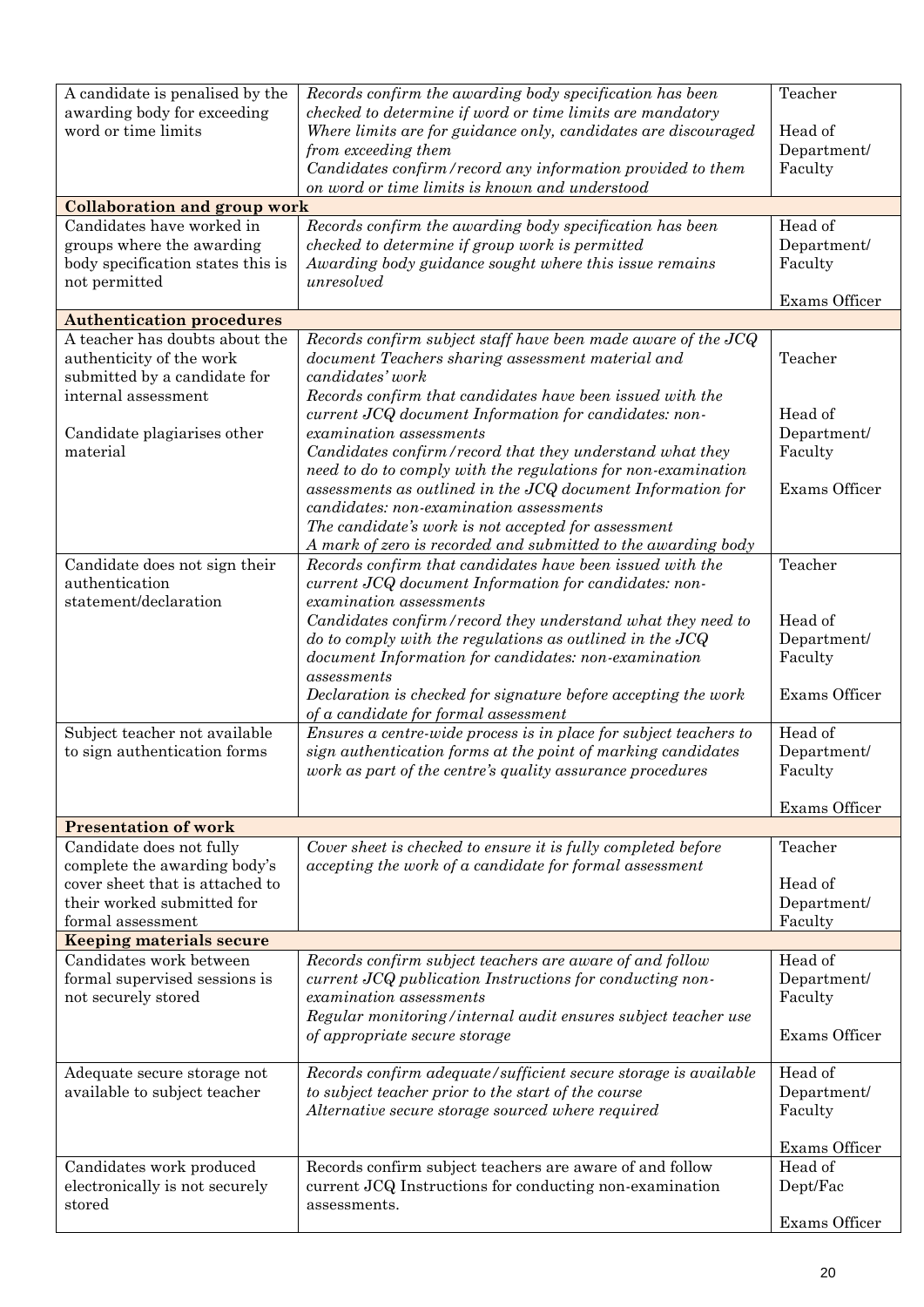| A candidate is penalised by the                                | Records confirm the awarding body specification has been                                                           | Teacher                |
|----------------------------------------------------------------|--------------------------------------------------------------------------------------------------------------------|------------------------|
| awarding body for exceeding                                    | checked to determine if word or time limits are mandatory                                                          |                        |
| word or time limits                                            | Where limits are for guidance only, candidates are discouraged                                                     | Head of                |
|                                                                | from exceeding them                                                                                                | Department/            |
|                                                                | Candidates confirm/record any information provided to them                                                         | Faculty                |
|                                                                | on word or time limits is known and understood                                                                     |                        |
| <b>Collaboration and group work</b>                            |                                                                                                                    |                        |
| Candidates have worked in                                      | Records confirm the awarding body specification has been                                                           | Head of                |
| groups where the awarding<br>body specification states this is | checked to determine if group work is permitted                                                                    | Department/<br>Faculty |
| not permitted                                                  | Awarding body guidance sought where this issue remains<br>unresolved                                               |                        |
|                                                                |                                                                                                                    | Exams Officer          |
| <b>Authentication procedures</b>                               |                                                                                                                    |                        |
| A teacher has doubts about the                                 | Records confirm subject staff have been made aware of the JCQ                                                      |                        |
| authenticity of the work                                       | document Teachers sharing assessment material and                                                                  | Teacher                |
| submitted by a candidate for                                   | candidates' work                                                                                                   |                        |
| internal assessment                                            | Records confirm that candidates have been issued with the                                                          |                        |
|                                                                | current JCQ document Information for candidates: non-                                                              | Head of                |
| Candidate plagiarises other                                    | examination assessments                                                                                            | Department/            |
| material                                                       | Candidates confirm/record that they understand what they                                                           | Faculty                |
|                                                                | need to do to comply with the regulations for non-examination                                                      |                        |
|                                                                | assessments as outlined in the JCQ document Information for                                                        | Exams Officer          |
|                                                                | candidates: non-examination assessments                                                                            |                        |
|                                                                | The candidate's work is not accepted for assessment                                                                |                        |
|                                                                | A mark of zero is recorded and submitted to the awarding body                                                      |                        |
| Candidate does not sign their                                  | Records confirm that candidates have been issued with the                                                          | Teacher                |
| authentication                                                 | current JCQ document Information for candidates: non-                                                              |                        |
| statement/declaration                                          | examination assessments                                                                                            | Head of                |
|                                                                | Candidates confirm/record they understand what they need to                                                        | Department/            |
|                                                                | do to comply with the regulations as outlined in the $JCQ$<br>document Information for candidates: non-examination | Faculty                |
|                                                                | assessments                                                                                                        |                        |
|                                                                | Declaration is checked for signature before accepting the work                                                     | Exams Officer          |
|                                                                | of a candidate for formal assessment                                                                               |                        |
| Subject teacher not available                                  | Ensures a centre-wide process is in place for subject teachers to                                                  | Head of                |
| to sign authentication forms                                   | sign authentication forms at the point of marking candidates                                                       | Department/            |
|                                                                | work as part of the centre's quality assurance procedures                                                          | Faculty                |
|                                                                |                                                                                                                    |                        |
|                                                                |                                                                                                                    | Exams Officer          |
| <b>Presentation of work</b>                                    |                                                                                                                    |                        |
| Candidate does not fully                                       | Cover sheet is checked to ensure it is fully completed before                                                      | Teacher                |
| complete the awarding body's                                   | accepting the work of a candidate for formal assessment                                                            |                        |
| cover sheet that is attached to                                |                                                                                                                    | Head of                |
| their worked submitted for                                     |                                                                                                                    | Department/            |
| formal assessment                                              |                                                                                                                    | Faculty                |
| <b>Keeping materials secure</b>                                |                                                                                                                    |                        |
| Candidates work between<br>formal supervised sessions is       | Records confirm subject teachers are aware of and follow                                                           | Head of<br>Department/ |
| not securely stored                                            | current JCQ publication Instructions for conducting non-<br>examination assessments                                | Faculty                |
|                                                                | Regular monitoring/internal audit ensures subject teacher use                                                      |                        |
|                                                                | of appropriate secure storage                                                                                      | Exams Officer          |
|                                                                |                                                                                                                    |                        |
| Adequate secure storage not                                    | Records confirm adequate/sufficient secure storage is available                                                    | Head of                |
| available to subject teacher                                   | to subject teacher prior to the start of the course                                                                | Department/            |
|                                                                | Alternative secure storage sourced where required                                                                  | Faculty                |
|                                                                |                                                                                                                    |                        |
|                                                                |                                                                                                                    | Exams Officer          |
| Candidates work produced                                       | Records confirm subject teachers are aware of and follow                                                           | Head of                |
| electronically is not securely                                 | current JCQ Instructions for conducting non-examination                                                            | Dept/Fac               |
| stored                                                         | assessments.                                                                                                       |                        |
|                                                                |                                                                                                                    | Exams Officer          |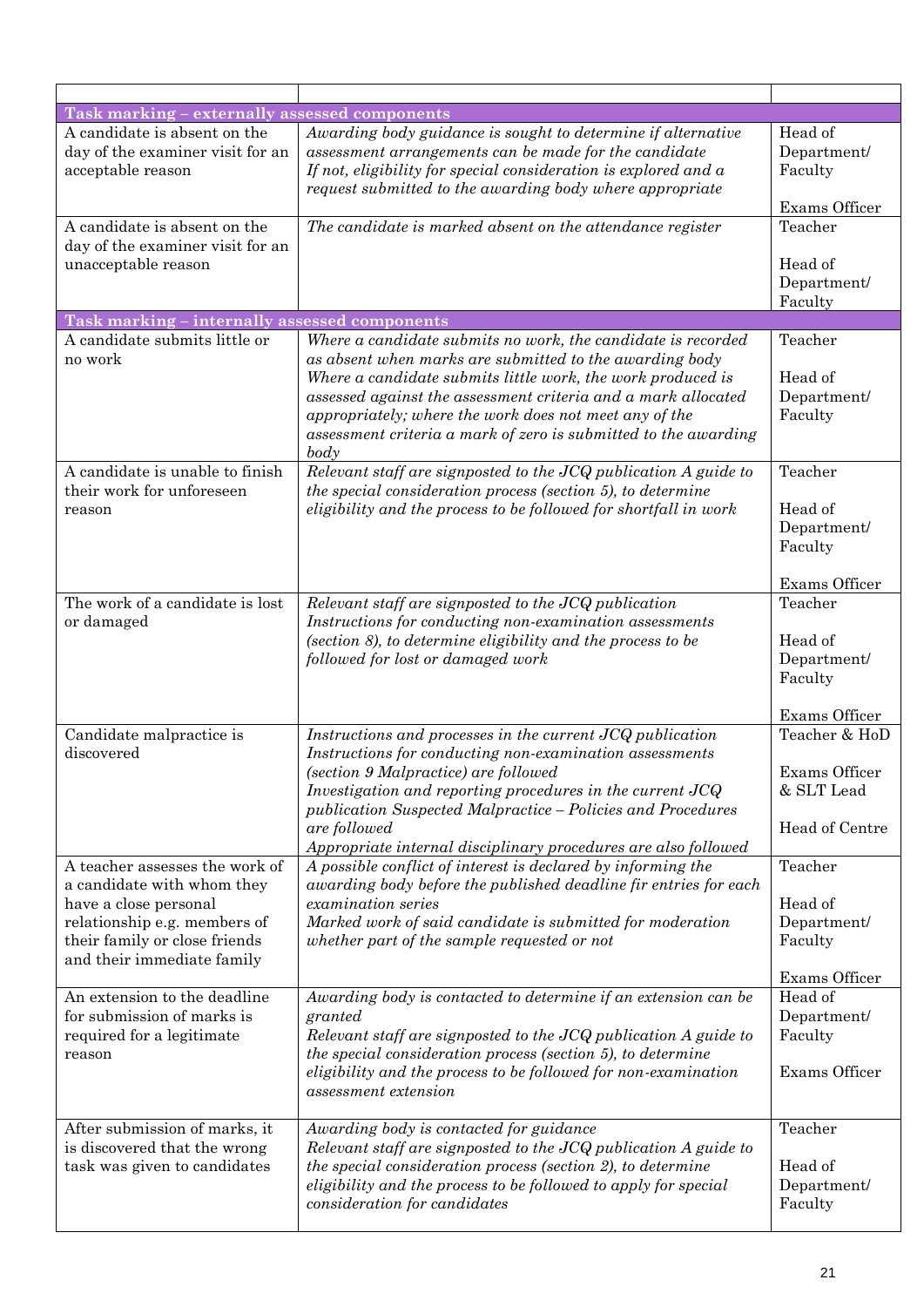| Task marking - externally assessed components                                                                                                                                        |                                                                                                                                                                                                                                                                                                                                                                                              |                                                                |
|--------------------------------------------------------------------------------------------------------------------------------------------------------------------------------------|----------------------------------------------------------------------------------------------------------------------------------------------------------------------------------------------------------------------------------------------------------------------------------------------------------------------------------------------------------------------------------------------|----------------------------------------------------------------|
| A candidate is absent on the<br>day of the examiner visit for an<br>acceptable reason                                                                                                | Awarding body guidance is sought to determine if alternative<br>assessment arrangements can be made for the candidate<br>If not, eligibility for special consideration is explored and $a$<br>request submitted to the awarding body where appropriate                                                                                                                                       | Head of<br>Department/<br>Faculty<br>Exams Officer             |
| A candidate is absent on the<br>day of the examiner visit for an<br>unacceptable reason                                                                                              | The candidate is marked absent on the attendance register                                                                                                                                                                                                                                                                                                                                    | Teacher<br>Head of<br>Department/                              |
|                                                                                                                                                                                      |                                                                                                                                                                                                                                                                                                                                                                                              | Faculty                                                        |
| Task marking - internally assessed components                                                                                                                                        |                                                                                                                                                                                                                                                                                                                                                                                              |                                                                |
| A candidate submits little or<br>no work                                                                                                                                             | Where a candidate submits no work, the candidate is recorded<br>as absent when marks are submitted to the awarding body<br>Where a candidate submits little work, the work produced is<br>assessed against the assessment criteria and a mark allocated<br>appropriately; where the work does not meet any of the<br>assessment criteria a mark of zero is submitted to the awarding<br>body | Teacher<br>Head of<br>Department/<br>Faculty                   |
| A candidate is unable to finish<br>their work for unforeseen<br>reason                                                                                                               | Relevant staff are signposted to the JCQ publication A guide to<br>the special consideration process (section 5), to determine<br>eligibility and the process to be followed for shortfall in work                                                                                                                                                                                           | Teacher<br>Head of<br>Department/<br>Faculty<br>Exams Officer  |
| The work of a candidate is lost<br>or damaged                                                                                                                                        | Relevant staff are signposted to the JCQ publication<br>Instructions for conducting non-examination assessments<br>$(section 8)$ , to determine eligibility and the process to be<br>followed for lost or damaged work                                                                                                                                                                       | Teacher<br>Head of<br>Department/<br>Faculty<br>Exams Officer  |
| Candidate malpractice is<br>discovered                                                                                                                                               | Instructions and processes in the current JCQ publication<br>Instructions for conducting non-examination assessments<br>(section 9 Malpractice) are followed<br>Investigation and reporting procedures in the current JCQ<br>publication Suspected Malpractice – Policies and Procedures<br>are followed<br>Appropriate internal disciplinary procedures are also followed                   | Teacher & HoD<br>Exams Officer<br>& SLT Lead<br>Head of Centre |
| A teacher assesses the work of<br>a candidate with whom they<br>have a close personal<br>relationship e.g. members of<br>their family or close friends<br>and their immediate family | A possible conflict of interest is declared by informing the<br>awarding body before the published deadline fir entries for each<br>examination series<br>Marked work of said candidate is submitted for moderation<br>whether part of the sample requested or not                                                                                                                           | Teacher<br>Head of<br>Department/<br>Faculty<br>Exams Officer  |
| An extension to the deadline<br>for submission of marks is<br>required for a legitimate<br>reason                                                                                    | Awarding body is contacted to determine if an extension can be<br>granted<br>Relevant staff are signposted to the JCQ publication A guide to<br>the special consideration process (section 5), to determine<br>eligibility and the process to be followed for non-examination<br>assessment extension                                                                                        | Head of<br>Department/<br>Faculty<br>Exams Officer             |
| After submission of marks, it<br>is discovered that the wrong<br>task was given to candidates                                                                                        | Awarding body is contacted for guidance<br>Relevant staff are signposted to the JCQ publication A guide to<br>the special consideration process (section 2), to determine<br>eligibility and the process to be followed to apply for special<br>consideration for candidates                                                                                                                 | Teacher<br>Head of<br>Department/<br>Faculty                   |